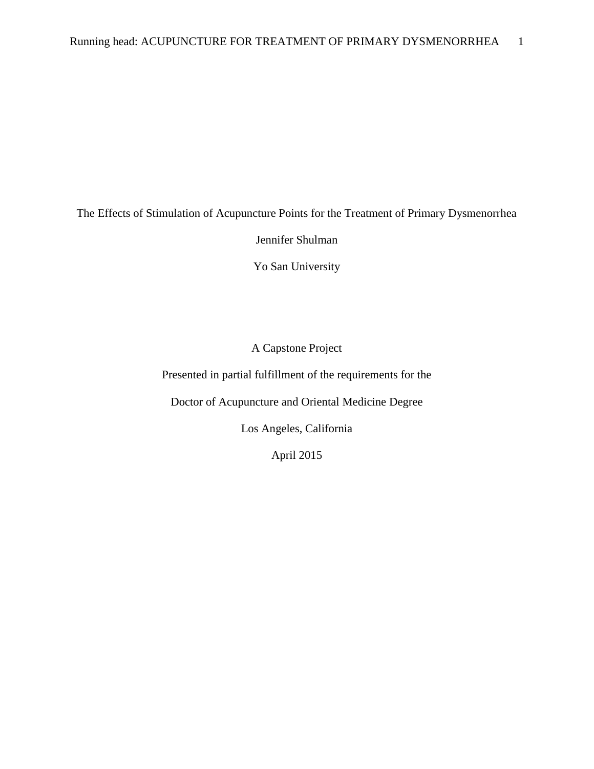The Effects of Stimulation of Acupuncture Points for the Treatment of Primary Dysmenorrhea

Jennifer Shulman

Yo San University

A Capstone Project

Presented in partial fulfillment of the requirements for the

Doctor of Acupuncture and Oriental Medicine Degree

Los Angeles, California

April 2015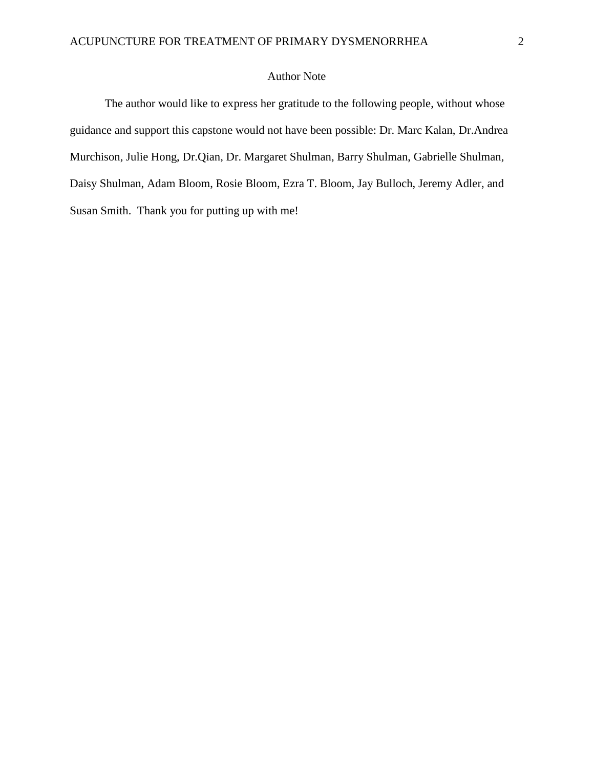# Author Note

The author would like to express her gratitude to the following people, without whose guidance and support this capstone would not have been possible: Dr. Marc Kalan, Dr.Andrea Murchison, Julie Hong, Dr.Qian, Dr. Margaret Shulman, Barry Shulman, Gabrielle Shulman, Daisy Shulman, Adam Bloom, Rosie Bloom, Ezra T. Bloom, Jay Bulloch, Jeremy Adler, and Susan Smith. Thank you for putting up with me!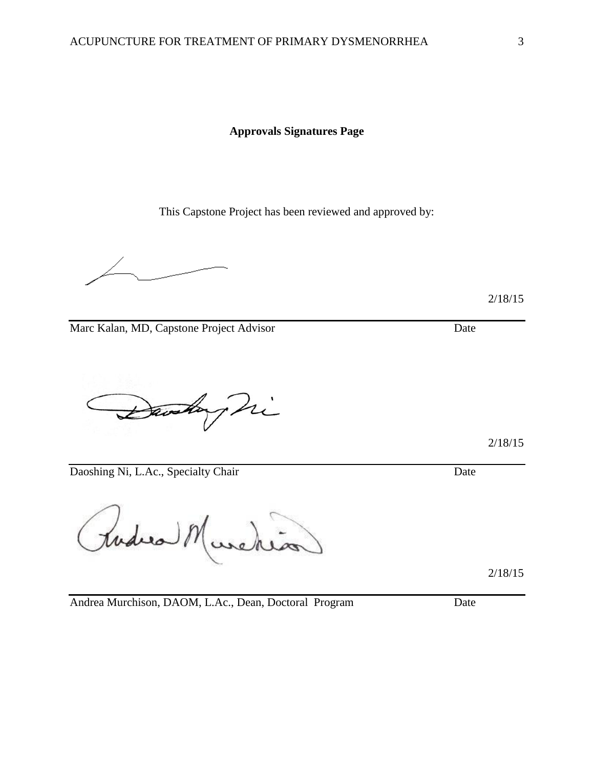**Approvals Signatures Page**

This Capstone Project has been reviewed and approved by:

2/18/15

Marc Kalan, MD, Capstone Project Advisor Date

Danskay hi

Daoshing Ni, L.Ac., Specialty Chair Date

Rudica M media

2/18/15

Andrea Murchison, DAOM, L.Ac., Dean, Doctoral Program Date

2/18/15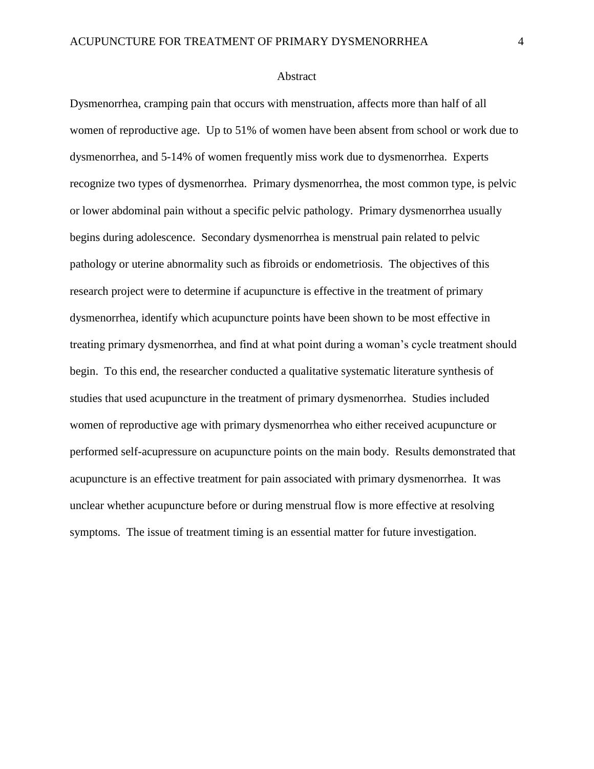#### Abstract

Dysmenorrhea, cramping pain that occurs with menstruation, affects more than half of all women of reproductive age. Up to 51% of women have been absent from school or work due to dysmenorrhea, and 5-14% of women frequently miss work due to dysmenorrhea. Experts recognize two types of dysmenorrhea. Primary dysmenorrhea, the most common type, is pelvic or lower abdominal pain without a specific pelvic pathology. Primary dysmenorrhea usually begins during adolescence. Secondary dysmenorrhea is menstrual pain related to pelvic pathology or uterine abnormality such as fibroids or endometriosis. The objectives of this research project were to determine if acupuncture is effective in the treatment of primary dysmenorrhea, identify which acupuncture points have been shown to be most effective in treating primary dysmenorrhea, and find at what point during a woman's cycle treatment should begin. To this end, the researcher conducted a qualitative systematic literature synthesis of studies that used acupuncture in the treatment of primary dysmenorrhea. Studies included women of reproductive age with primary dysmenorrhea who either received acupuncture or performed self-acupressure on acupuncture points on the main body. Results demonstrated that acupuncture is an effective treatment for pain associated with primary dysmenorrhea. It was unclear whether acupuncture before or during menstrual flow is more effective at resolving symptoms. The issue of treatment timing is an essential matter for future investigation.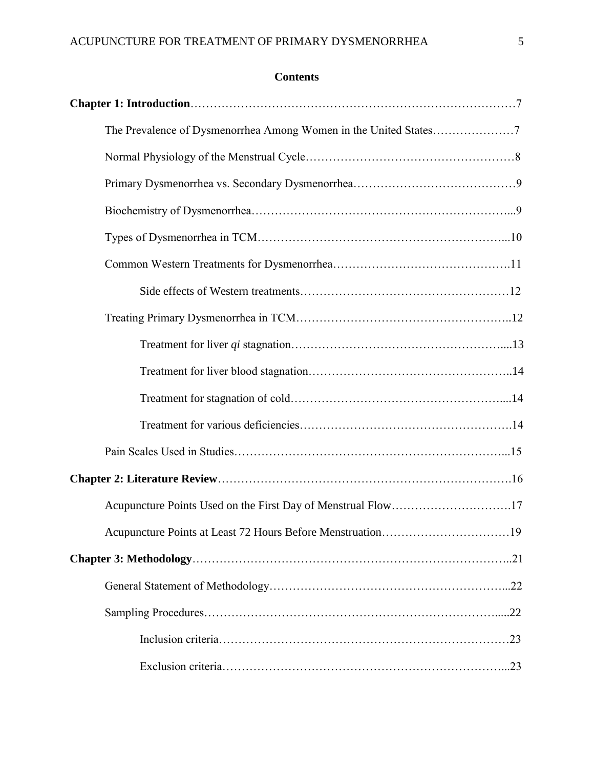# **Contents**

| Acupuncture Points Used on the First Day of Menstrual Flow17 |  |
|--------------------------------------------------------------|--|
|                                                              |  |
|                                                              |  |
|                                                              |  |
|                                                              |  |
|                                                              |  |
|                                                              |  |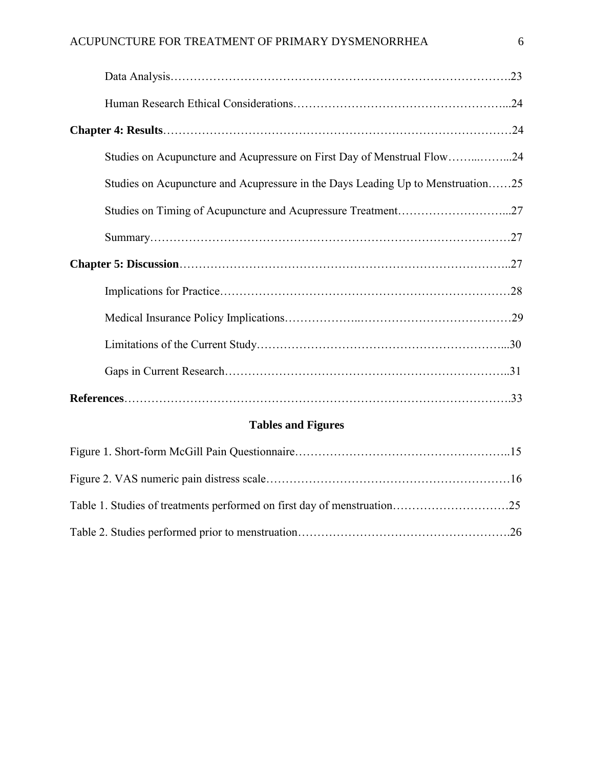| Studies on Acupuncture and Acupressure on First Day of Menstrual Flow24         |  |
|---------------------------------------------------------------------------------|--|
| Studies on Acupuncture and Acupressure in the Days Leading Up to Menstruation25 |  |
|                                                                                 |  |
|                                                                                 |  |
|                                                                                 |  |
|                                                                                 |  |
|                                                                                 |  |
|                                                                                 |  |
|                                                                                 |  |
|                                                                                 |  |

# **Tables and Figures**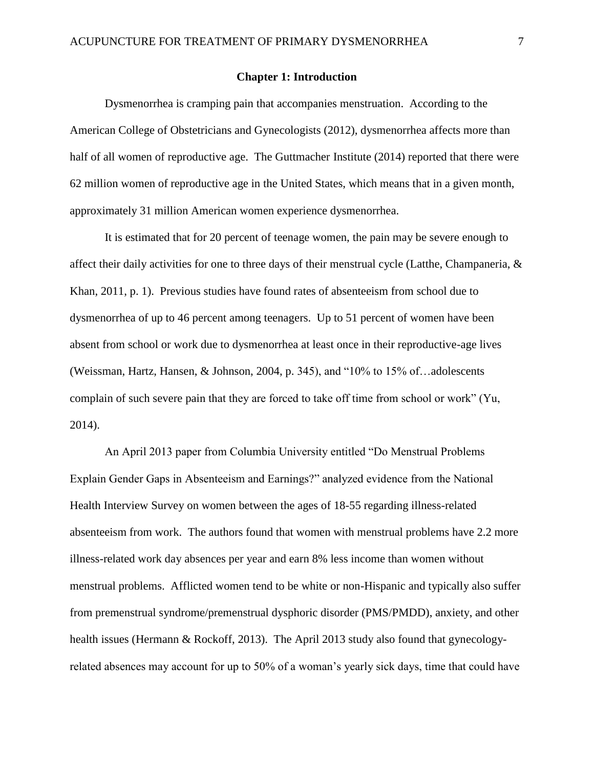#### **Chapter 1: Introduction**

Dysmenorrhea is cramping pain that accompanies menstruation. According to the American College of Obstetricians and Gynecologists (2012), dysmenorrhea affects more than half of all women of reproductive age. The Guttmacher Institute (2014) reported that there were 62 million women of reproductive age in the United States, which means that in a given month, approximately 31 million American women experience dysmenorrhea.

It is estimated that for 20 percent of teenage women, the pain may be severe enough to affect their daily activities for one to three days of their menstrual cycle (Latthe, Champaneria,  $\&$ Khan, 2011, p. 1). Previous studies have found rates of absenteeism from school due to dysmenorrhea of up to 46 percent among teenagers. Up to 51 percent of women have been absent from school or work due to dysmenorrhea at least once in their reproductive-age lives (Weissman, Hartz, Hansen, & Johnson, 2004, p. 345), and "10% to 15% of…adolescents complain of such severe pain that they are forced to take off time from school or work" (Yu, 2014).

An April 2013 paper from Columbia University entitled "Do Menstrual Problems Explain Gender Gaps in Absenteeism and Earnings?" analyzed evidence from the National Health Interview Survey on women between the ages of 18-55 regarding illness-related absenteeism from work. The authors found that women with menstrual problems have 2.2 more illness-related work day absences per year and earn 8% less income than women without menstrual problems. Afflicted women tend to be white or non-Hispanic and typically also suffer from premenstrual syndrome/premenstrual dysphoric disorder (PMS/PMDD), anxiety, and other health issues (Hermann & Rockoff, 2013). The April 2013 study also found that gynecologyrelated absences may account for up to 50% of a woman's yearly sick days, time that could have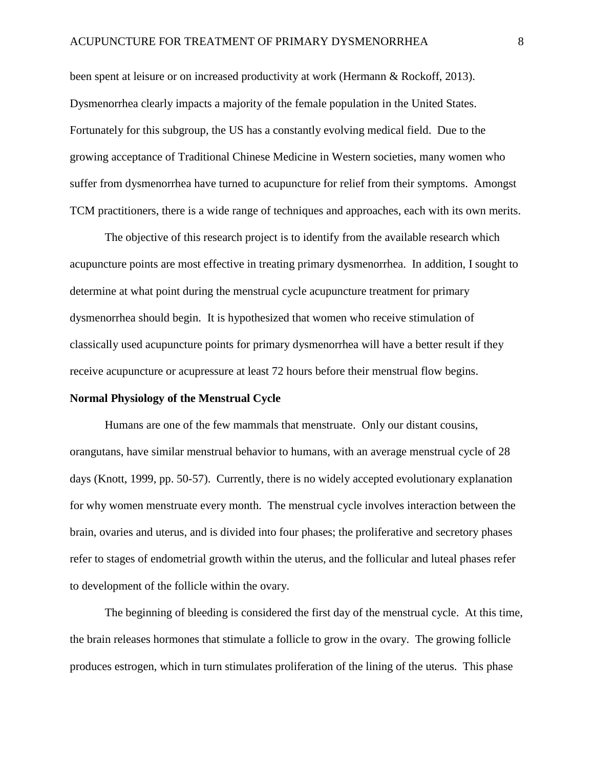been spent at leisure or on increased productivity at work (Hermann & Rockoff, 2013). Dysmenorrhea clearly impacts a majority of the female population in the United States. Fortunately for this subgroup, the US has a constantly evolving medical field. Due to the growing acceptance of Traditional Chinese Medicine in Western societies, many women who suffer from dysmenorrhea have turned to acupuncture for relief from their symptoms. Amongst TCM practitioners, there is a wide range of techniques and approaches, each with its own merits.

The objective of this research project is to identify from the available research which acupuncture points are most effective in treating primary dysmenorrhea. In addition, I sought to determine at what point during the menstrual cycle acupuncture treatment for primary dysmenorrhea should begin.It is hypothesized that women who receive stimulation of classically used acupuncture points for primary dysmenorrhea will have a better result if they receive acupuncture or acupressure at least 72 hours before their menstrual flow begins.

#### **Normal Physiology of the Menstrual Cycle**

Humans are one of the few mammals that menstruate. Only our distant cousins, orangutans, have similar menstrual behavior to humans, with an average menstrual cycle of 28 days (Knott, 1999, pp. 50-57). Currently, there is no widely accepted evolutionary explanation for why women menstruate every month. The menstrual cycle involves interaction between the brain, ovaries and uterus, and is divided into four phases; the proliferative and secretory phases refer to stages of endometrial growth within the uterus, and the follicular and luteal phases refer to development of the follicle within the ovary.

The beginning of bleeding is considered the first day of the menstrual cycle. At this time, the brain releases hormones that stimulate a follicle to grow in the ovary. The growing follicle produces estrogen, which in turn stimulates proliferation of the lining of the uterus. This phase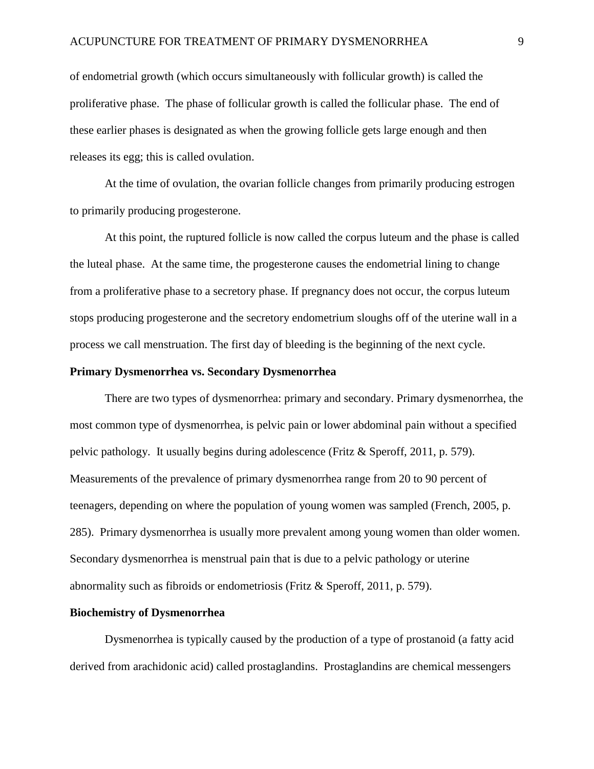of endometrial growth (which occurs simultaneously with follicular growth) is called the proliferative phase. The phase of follicular growth is called the follicular phase. The end of these earlier phases is designated as when the growing follicle gets large enough and then releases its egg; this is called ovulation.

At the time of ovulation, the ovarian follicle changes from primarily producing estrogen to primarily producing progesterone.

At this point, the ruptured follicle is now called the corpus luteum and the phase is called the luteal phase. At the same time, the progesterone causes the endometrial lining to change from a proliferative phase to a secretory phase. If pregnancy does not occur, the corpus luteum stops producing progesterone and the secretory endometrium sloughs off of the uterine wall in a process we call menstruation. The first day of bleeding is the beginning of the next cycle.

#### **Primary Dysmenorrhea vs. Secondary Dysmenorrhea**

There are two types of dysmenorrhea: primary and secondary. Primary dysmenorrhea, the most common type of dysmenorrhea, is pelvic pain or lower abdominal pain without a specified pelvic pathology. It usually begins during adolescence (Fritz & Speroff, 2011, p. 579). Measurements of the prevalence of primary dysmenorrhea range from 20 to 90 percent of teenagers, depending on where the population of young women was sampled (French, 2005, p. 285). Primary dysmenorrhea is usually more prevalent among young women than older women. Secondary dysmenorrhea is menstrual pain that is due to a pelvic pathology or uterine abnormality such as fibroids or endometriosis (Fritz & Speroff, 2011, p. 579).

#### **Biochemistry of Dysmenorrhea**

Dysmenorrhea is typically caused by the production of a type of prostanoid (a fatty acid derived from arachidonic acid) called prostaglandins. Prostaglandins are chemical messengers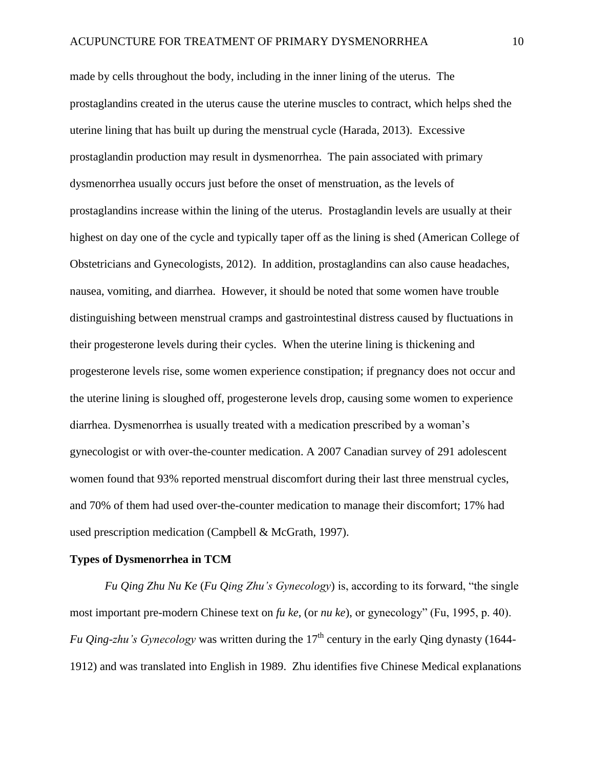made by cells throughout the body, including in the inner lining of the uterus. The prostaglandins created in the uterus cause the uterine muscles to contract, which helps shed the uterine lining that has built up during the menstrual cycle (Harada, 2013). Excessive prostaglandin production may result in dysmenorrhea. The pain associated with primary dysmenorrhea usually occurs just before the onset of menstruation, as the levels of prostaglandins increase within the lining of the uterus. Prostaglandin levels are usually at their highest on day one of the cycle and typically taper off as the lining is shed (American College of Obstetricians and Gynecologists, 2012). In addition, prostaglandins can also cause headaches, nausea, vomiting, and diarrhea. However, it should be noted that some women have trouble distinguishing between menstrual cramps and gastrointestinal distress caused by fluctuations in their progesterone levels during their cycles. When the uterine lining is thickening and progesterone levels rise, some women experience constipation; if pregnancy does not occur and the uterine lining is sloughed off, progesterone levels drop, causing some women to experience diarrhea. Dysmenorrhea is usually treated with a medication prescribed by a woman's gynecologist or with over-the-counter medication. A 2007 Canadian survey of 291 adolescent women found that 93% reported menstrual discomfort during their last three menstrual cycles, and 70% of them had used over-the-counter medication to manage their discomfort; 17% had used prescription medication (Campbell & McGrath, 1997).

#### **Types of Dysmenorrhea in TCM**

*Fu Qing Zhu Nu Ke* (*Fu Qing Zhu's Gynecology*) is, according to its forward, "the single most important pre-modern Chinese text on *fu ke*, (or *nu ke*), or gynecology" (Fu, 1995, p. 40). *Fu Qing-zhu's Gynecology* was written during the 17<sup>th</sup> century in the early Qing dynasty (1644-1912) and was translated into English in 1989. Zhu identifies five Chinese Medical explanations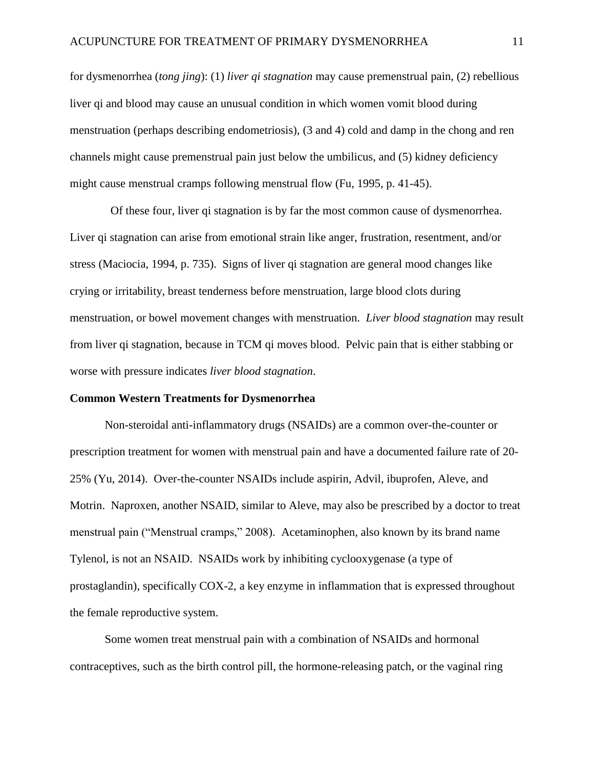for dysmenorrhea (*tong jing*): (1) *liver qi stagnation* may cause premenstrual pain, (2) rebellious liver qi and blood may cause an unusual condition in which women vomit blood during menstruation (perhaps describing endometriosis), (3 and 4) cold and damp in the chong and ren channels might cause premenstrual pain just below the umbilicus, and (5) kidney deficiency might cause menstrual cramps following menstrual flow (Fu, 1995, p. 41-45).

Of these four, liver qi stagnation is by far the most common cause of dysmenorrhea. Liver qi stagnation can arise from emotional strain like anger, frustration, resentment, and/or stress (Maciocia, 1994, p. 735). Signs of liver qi stagnation are general mood changes like crying or irritability, breast tenderness before menstruation, large blood clots during menstruation, or bowel movement changes with menstruation. *Liver blood stagnation* may result from liver qi stagnation, because in TCM qi moves blood. Pelvic pain that is either stabbing or worse with pressure indicates *liver blood stagnation*.

#### **Common Western Treatments for Dysmenorrhea**

Non-steroidal anti-inflammatory drugs (NSAIDs) are a common over-the-counter or prescription treatment for women with menstrual pain and have a documented failure rate of 20- 25% (Yu, 2014). Over-the-counter NSAIDs include aspirin, Advil, ibuprofen, Aleve, and Motrin. Naproxen, another NSAID, similar to Aleve, may also be prescribed by a doctor to treat menstrual pain ("Menstrual cramps," 2008). Acetaminophen, also known by its brand name Tylenol, is not an NSAID. NSAIDs work by inhibiting cyclooxygenase (a type of prostaglandin), specifically COX-2, a key enzyme in inflammation that is expressed throughout the female reproductive system.

Some women treat menstrual pain with a combination of NSAIDs and hormonal contraceptives, such as the birth control pill, the hormone-releasing patch, or the vaginal ring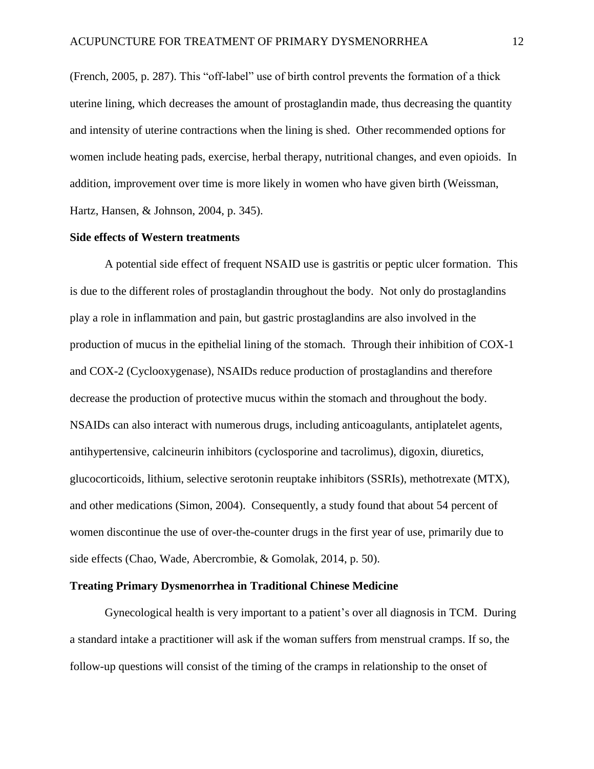(French, 2005, p. 287). This "off-label" use of birth control prevents the formation of a thick uterine lining, which decreases the amount of prostaglandin made, thus decreasing the quantity and intensity of uterine contractions when the lining is shed. Other recommended options for women include heating pads, exercise, herbal therapy, nutritional changes, and even opioids. In addition, improvement over time is more likely in women who have given birth (Weissman, Hartz, Hansen, & Johnson, 2004, p. 345).

# **Side effects of Western treatments**

A potential side effect of frequent NSAID use is gastritis or peptic ulcer formation. This is due to the different roles of prostaglandin throughout the body. Not only do prostaglandins play a role in inflammation and pain, but gastric prostaglandins are also involved in the production of mucus in the epithelial lining of the stomach. Through their inhibition of COX-1 and COX-2 (Cyclooxygenase), NSAIDs reduce production of prostaglandins and therefore decrease the production of protective mucus within the stomach and throughout the body. NSAIDs can also interact with numerous drugs, including anticoagulants, antiplatelet agents, antihypertensive, calcineurin inhibitors (cyclosporine and tacrolimus), digoxin, diuretics, glucocorticoids, lithium, selective serotonin reuptake inhibitors (SSRIs), methotrexate (MTX), and other medications (Simon, 2004). Consequently, a study found that about 54 percent of women discontinue the use of over-the-counter drugs in the first year of use, primarily due to side effects (Chao, Wade, Abercrombie, & Gomolak, 2014, p. 50).

#### **Treating Primary Dysmenorrhea in Traditional Chinese Medicine**

Gynecological health is very important to a patient's over all diagnosis in TCM. During a standard intake a practitioner will ask if the woman suffers from menstrual cramps. If so, the follow-up questions will consist of the timing of the cramps in relationship to the onset of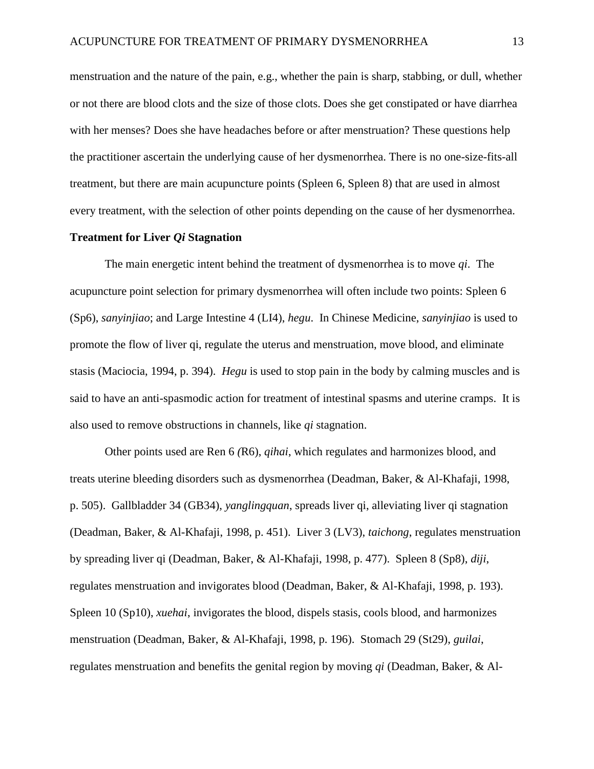menstruation and the nature of the pain, e.g., whether the pain is sharp, stabbing, or dull, whether or not there are blood clots and the size of those clots. Does she get constipated or have diarrhea with her menses? Does she have headaches before or after menstruation? These questions help the practitioner ascertain the underlying cause of her dysmenorrhea. There is no one-size-fits-all treatment, but there are main acupuncture points (Spleen 6, Spleen 8) that are used in almost every treatment, with the selection of other points depending on the cause of her dysmenorrhea.

# **Treatment for Liver** *Qi* **Stagnation**

The main energetic intent behind the treatment of dysmenorrhea is to move *qi*. The acupuncture point selection for primary dysmenorrhea will often include two points: Spleen 6 (Sp6), *sanyinjiao*; and Large Intestine 4 (LI4), *hegu*. In Chinese Medicine, *sanyinjiao* is used to promote the flow of liver qi, regulate the uterus and menstruation, move blood, and eliminate stasis (Maciocia, 1994, p. 394). *Hegu* is used to stop pain in the body by calming muscles and is said to have an anti-spasmodic action for treatment of intestinal spasms and uterine cramps. It is also used to remove obstructions in channels, like *qi* stagnation.

Other points used are Ren 6 *(*R6), *qihai*, which regulates and harmonizes blood, and treats uterine bleeding disorders such as dysmenorrhea (Deadman, Baker, & Al-Khafaji, 1998, p. 505). Gallbladder 34 (GB34), *yanglingquan*, spreads liver qi, alleviating liver qi stagnation (Deadman, Baker, & Al-Khafaji, 1998, p. 451). Liver 3 (LV3), *taichong*, regulates menstruation by spreading liver qi (Deadman, Baker, & Al-Khafaji, 1998, p. 477). Spleen 8 (Sp8), *diji*, regulates menstruation and invigorates blood (Deadman, Baker, & Al-Khafaji, 1998, p. 193). Spleen 10 (Sp10), *xuehai*, invigorates the blood, dispels stasis, cools blood, and harmonizes menstruation (Deadman, Baker, & Al-Khafaji, 1998, p. 196). Stomach 29 (St29), *guilai*, regulates menstruation and benefits the genital region by moving *qi* (Deadman, Baker, & Al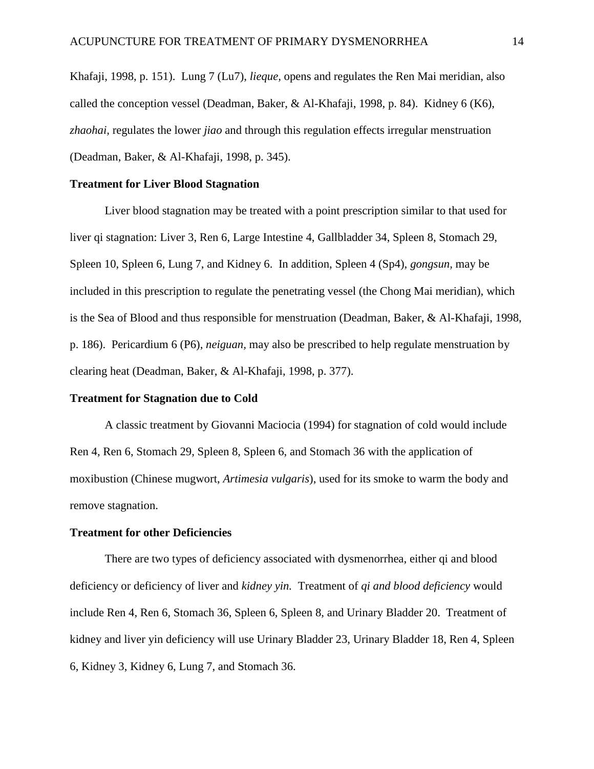Khafaji, 1998, p. 151). Lung 7 (Lu7), *lieque,* opens and regulates the Ren Mai meridian, also called the conception vessel (Deadman, Baker, & Al-Khafaji, 1998, p. 84). Kidney 6 (K6), *zhaohai,* regulates the lower *jiao* and through this regulation effects irregular menstruation (Deadman, Baker, & Al-Khafaji, 1998, p. 345).

#### **Treatment for Liver Blood Stagnation**

Liver blood stagnation may be treated with a point prescription similar to that used for liver qi stagnation: Liver 3, Ren 6, Large Intestine 4, Gallbladder 34, Spleen 8, Stomach 29, Spleen 10, Spleen 6, Lung 7, and Kidney 6. In addition, Spleen 4 (Sp4), *gongsun,* may be included in this prescription to regulate the penetrating vessel (the Chong Mai meridian), which is the Sea of Blood and thus responsible for menstruation (Deadman, Baker, & Al-Khafaji, 1998, p. 186). Pericardium 6 (P6), *neiguan,* may also be prescribed to help regulate menstruation by clearing heat (Deadman, Baker, & Al-Khafaji, 1998, p. 377).

#### **Treatment for Stagnation due to Cold**

A classic treatment by Giovanni Maciocia (1994) for stagnation of cold would include Ren 4, Ren 6, Stomach 29, Spleen 8, Spleen 6, and Stomach 36 with the application of moxibustion (Chinese mugwort, *Artimesia vulgaris*), used for its smoke to warm the body and remove stagnation.

#### **Treatment for other Deficiencies**

There are two types of deficiency associated with dysmenorrhea, either qi and blood deficiency or deficiency of liver and *kidney yin.* Treatment of *qi and blood deficiency* would include Ren 4, Ren 6, Stomach 36, Spleen 6, Spleen 8, and Urinary Bladder 20. Treatment of kidney and liver yin deficiency will use Urinary Bladder 23, Urinary Bladder 18, Ren 4, Spleen 6, Kidney 3, Kidney 6, Lung 7, and Stomach 36.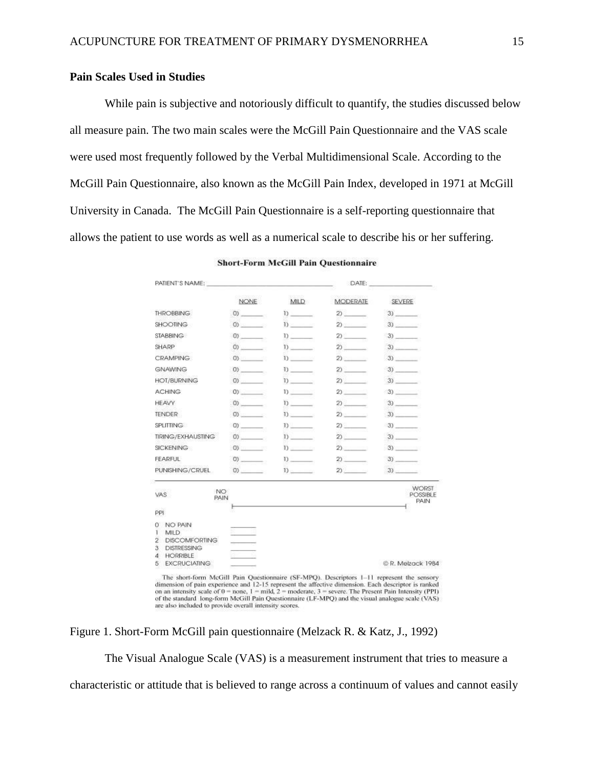# **Pain Scales Used in Studies**

While pain is subjective and notoriously difficult to quantify, the studies discussed below all measure pain. The two main scales were the McGill Pain Questionnaire and the VAS scale were used most frequently followed by the Verbal Multidimensional Scale. According to the McGill Pain Questionnaire, also known as the McGill Pain Index, developed in 1971 at McGill University in Canada. The McGill Pain Questionnaire is a self-reporting questionnaire that allows the patient to use words as well as a numerical scale to describe his or her suffering.

| PATIENT'S NAME:                                                                                                                                                                                                                                                                                                                                                                      |                                |                  | DATE:              |                                                                                           |
|--------------------------------------------------------------------------------------------------------------------------------------------------------------------------------------------------------------------------------------------------------------------------------------------------------------------------------------------------------------------------------------|--------------------------------|------------------|--------------------|-------------------------------------------------------------------------------------------|
|                                                                                                                                                                                                                                                                                                                                                                                      | <b>NONE</b>                    | MILD             | <b>MODERATE</b>    | SEVERE                                                                                    |
| THROBBING.                                                                                                                                                                                                                                                                                                                                                                           | (0)                            | $D_{\rm{max}}$   | $2)$ $\frac{1}{2}$ | 3)                                                                                        |
| <b>SHOOTING</b>                                                                                                                                                                                                                                                                                                                                                                      | $\left 0\right\rangle$         | $D_1$            | $2)$ $-$           | 3)                                                                                        |
| STABBING                                                                                                                                                                                                                                                                                                                                                                             | 0)                             | $\mathbf{D}$     | 2)                 | 3)                                                                                        |
| SHARP                                                                                                                                                                                                                                                                                                                                                                                | (0)                            | $D_{\text{max}}$ | $20 - 1$           | 3)                                                                                        |
| <b>CRAMPING</b>                                                                                                                                                                                                                                                                                                                                                                      | $\left 0\right\rangle$         | 1)               | 2)                 | 3)                                                                                        |
| GNAWING                                                                                                                                                                                                                                                                                                                                                                              | $\left\langle 0 \right\rangle$ |                  | $2)$ $-$           | 3)                                                                                        |
| HOT/BURNING                                                                                                                                                                                                                                                                                                                                                                          | (0)                            | $\mathbb{D}$     | $2)$ $\qquad$      | 3)                                                                                        |
| <b>ACHING</b>                                                                                                                                                                                                                                                                                                                                                                        | $\left 0\right\rangle$         | $\mathbf{D}$     | $2)$ $-$           | 3)                                                                                        |
| <b>HEAVY</b>                                                                                                                                                                                                                                                                                                                                                                         | $\left 0\right\rangle$         | $D_{\rm{max}}$   | $20$ $-$           | 3)                                                                                        |
| <b>TENDER</b>                                                                                                                                                                                                                                                                                                                                                                        | (0)                            | $\mathbf{D}$     | $2)$ .             | 3)                                                                                        |
| SPLITTING                                                                                                                                                                                                                                                                                                                                                                            | $\left 0\right\rangle$         | $D_{\perp}$      | $2)$ $\qquad$      |                                                                                           |
| <b>TIRING/EXHAUSTING</b>                                                                                                                                                                                                                                                                                                                                                             | (0)                            | $D_1$            | $2)$ .             | 3)                                                                                        |
| SICKENING                                                                                                                                                                                                                                                                                                                                                                            | (0)                            | $\mathbf{D}$     | 2)                 | 3)                                                                                        |
| <b>FEARFUL</b>                                                                                                                                                                                                                                                                                                                                                                       | (0)                            | 1)               |                    |                                                                                           |
| PUNISHING/CRUEL                                                                                                                                                                                                                                                                                                                                                                      | $\left( 0\right)$              | $D_1$            | $2)$ $-$           | 3)                                                                                        |
| NO:<br>VAS.<br>PAIN                                                                                                                                                                                                                                                                                                                                                                  |                                |                  |                    | <b>WORST</b><br>POSSIBLE<br>PAIN                                                          |
| PPI                                                                                                                                                                                                                                                                                                                                                                                  |                                |                  |                    |                                                                                           |
| NO PAIN<br>0<br><b>MILD</b><br>1<br><b>DISCOMFORTING</b><br>2<br><b>DISTRESSING</b><br>з                                                                                                                                                                                                                                                                                             | en la co                       |                  |                    |                                                                                           |
| HORRIBLE<br>4<br><b>EXCRUCIATING</b><br>5                                                                                                                                                                                                                                                                                                                                            |                                |                  |                    | C R. Melzack 1984                                                                         |
| dimension of pain experience and 12-15 represent the affective dimension. Each descriptor is ranked<br>on an intensity scale of $0 =$ none, $1 =$ mild, $2 =$ moderate, $3 =$ severe. The Present Pain Intensity (PPI)<br>of the standard long-form McGill Pain Questionnaire (LF-MPQ) and the visual analogue scale (VAS)<br>are also included to provide overall intensity scores. |                                |                  |                    | The short-form McGill Pain Questionnaire (SF-MPQ). Descriptors 1-11 represent the sensory |

**Short-Form McGill Pain Questionnaire** 

Figure 1. Short-Form McGill pain questionnaire (Melzack R. & Katz, J., 1992)

The Visual Analogue Scale (VAS) is a measurement instrument that tries to measure a characteristic or attitude that is believed to range across a continuum of values and cannot easily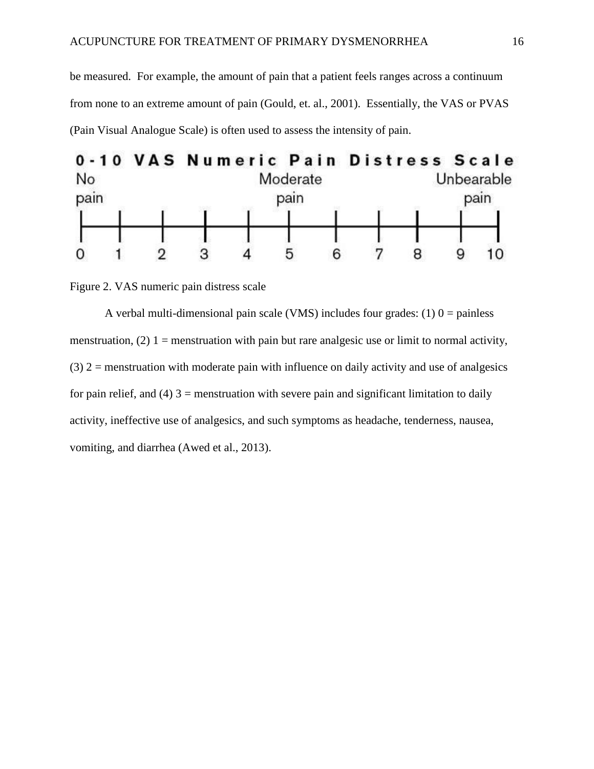be measured. For example, the amount of pain that a patient feels ranges across a continuum from none to an extreme amount of pain (Gould, et. al., 2001). Essentially, the VAS or PVAS (Pain Visual Analogue Scale) is often used to assess the intensity of pain.



Figure 2. VAS numeric pain distress scale

A verbal multi-dimensional pain scale (VMS) includes four grades: (1)  $0 =$  painless menstruation, (2)  $1 =$  menstruation with pain but rare analgesic use or limit to normal activity,  $(3)$  2 = menstruation with moderate pain with influence on daily activity and use of analgesics for pain relief, and  $(4)$  3 = menstruation with severe pain and significant limitation to daily activity, ineffective use of analgesics, and such symptoms as headache, tenderness, nausea, vomiting, and diarrhea (Awed et al., 2013).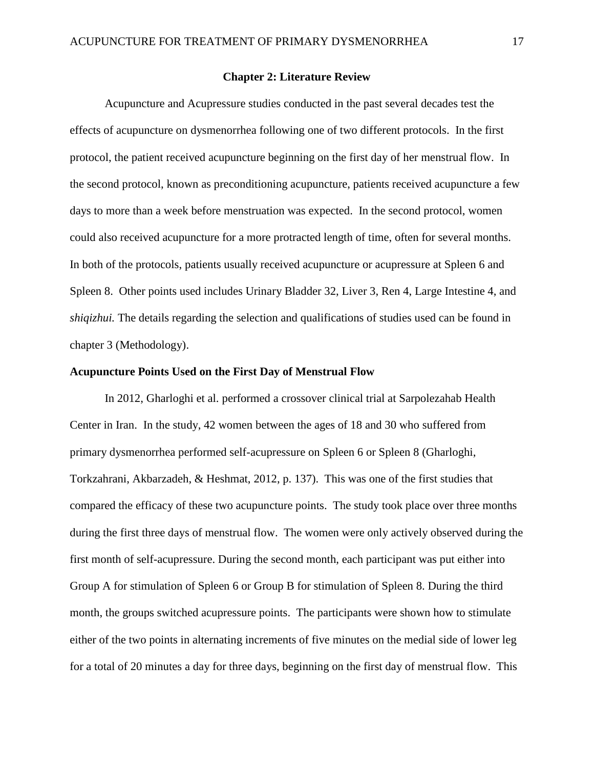#### **Chapter 2: Literature Review**

Acupuncture and Acupressure studies conducted in the past several decades test the effects of acupuncture on dysmenorrhea following one of two different protocols. In the first protocol, the patient received acupuncture beginning on the first day of her menstrual flow. In the second protocol, known as preconditioning acupuncture, patients received acupuncture a few days to more than a week before menstruation was expected. In the second protocol, women could also received acupuncture for a more protracted length of time, often for several months. In both of the protocols, patients usually received acupuncture or acupressure at Spleen 6 and Spleen 8. Other points used includes Urinary Bladder 32, Liver 3, Ren 4, Large Intestine 4, and *shiqizhui.* The details regarding the selection and qualifications of studies used can be found in chapter 3 (Methodology).

#### **Acupuncture Points Used on the First Day of Menstrual Flow**

In 2012, Gharloghi et al. performed a crossover clinical trial at Sarpolezahab Health Center in Iran. In the study, 42 women between the ages of 18 and 30 who suffered from primary dysmenorrhea performed self-acupressure on Spleen 6 or Spleen 8 (Gharloghi, Torkzahrani, Akbarzadeh, & Heshmat, 2012, p. 137). This was one of the first studies that compared the efficacy of these two acupuncture points. The study took place over three months during the first three days of menstrual flow. The women were only actively observed during the first month of self-acupressure. During the second month, each participant was put either into Group A for stimulation of Spleen 6 or Group B for stimulation of Spleen 8. During the third month, the groups switched acupressure points. The participants were shown how to stimulate either of the two points in alternating increments of five minutes on the medial side of lower leg for a total of 20 minutes a day for three days, beginning on the first day of menstrual flow. This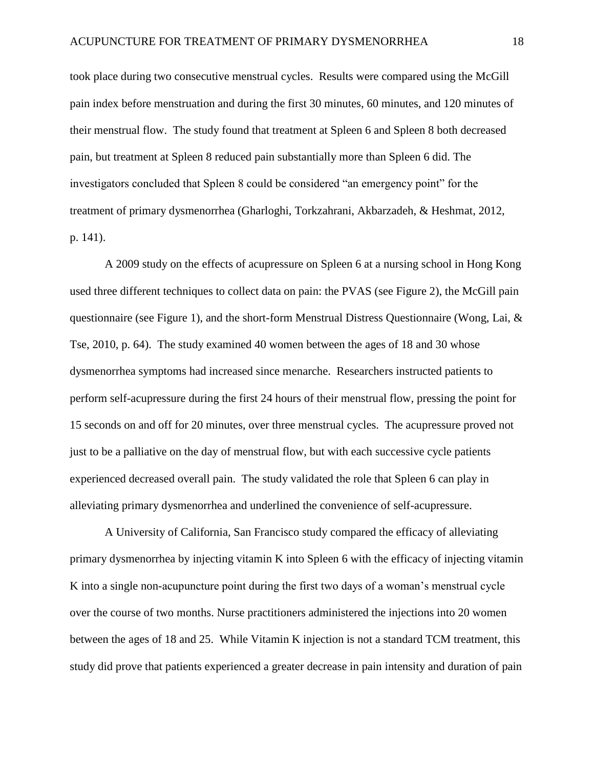took place during two consecutive menstrual cycles. Results were compared using the McGill pain index before menstruation and during the first 30 minutes, 60 minutes, and 120 minutes of their menstrual flow. The study found that treatment at Spleen 6 and Spleen 8 both decreased pain, but treatment at Spleen 8 reduced pain substantially more than Spleen 6 did. The investigators concluded that Spleen 8 could be considered "an emergency point" for the treatment of primary dysmenorrhea (Gharloghi, Torkzahrani, Akbarzadeh, & Heshmat, 2012, p. 141).

A 2009 study on the effects of acupressure on Spleen 6 at a nursing school in Hong Kong used three different techniques to collect data on pain: the PVAS (see Figure 2), the McGill pain questionnaire (see Figure 1), and the short-form Menstrual Distress Questionnaire (Wong, Lai,  $\&$ Tse, 2010, p. 64). The study examined 40 women between the ages of 18 and 30 whose dysmenorrhea symptoms had increased since menarche. Researchers instructed patients to perform self-acupressure during the first 24 hours of their menstrual flow, pressing the point for 15 seconds on and off for 20 minutes, over three menstrual cycles. The acupressure proved not just to be a palliative on the day of menstrual flow, but with each successive cycle patients experienced decreased overall pain. The study validated the role that Spleen 6 can play in alleviating primary dysmenorrhea and underlined the convenience of self-acupressure.

A University of California, San Francisco study compared the efficacy of alleviating primary dysmenorrhea by injecting vitamin K into Spleen 6 with the efficacy of injecting vitamin K into a single non-acupuncture point during the first two days of a woman's menstrual cycle over the course of two months. Nurse practitioners administered the injections into 20 women between the ages of 18 and 25. While Vitamin K injection is not a standard TCM treatment, this study did prove that patients experienced a greater decrease in pain intensity and duration of pain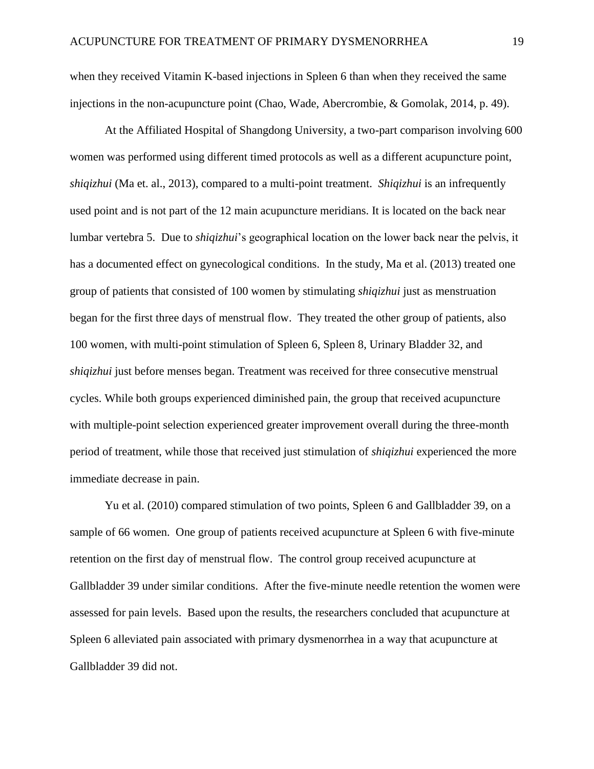when they received Vitamin K-based injections in Spleen 6 than when they received the same injections in the non-acupuncture point (Chao, Wade, Abercrombie, & Gomolak, 2014, p. 49).

At the Affiliated Hospital of Shangdong University, a two-part comparison involving 600 women was performed using different timed protocols as well as a different acupuncture point, *shiqizhui* (Ma et. al., 2013), compared to a multi-point treatment. *Shiqizhui* is an infrequently used point and is not part of the 12 main acupuncture meridians. It is located on the back near lumbar vertebra 5. Due to *shiqizhui*'s geographical location on the lower back near the pelvis, it has a documented effect on gynecological conditions. In the study, Ma et al. (2013) treated one group of patients that consisted of 100 women by stimulating *shiqizhui* just as menstruation began for the first three days of menstrual flow. They treated the other group of patients, also 100 women, with multi-point stimulation of Spleen 6, Spleen 8, Urinary Bladder 32, and *shiqizhui* just before menses began. Treatment was received for three consecutive menstrual cycles. While both groups experienced diminished pain, the group that received acupuncture with multiple-point selection experienced greater improvement overall during the three-month period of treatment, while those that received just stimulation of *shiqizhui* experienced the more immediate decrease in pain.

Yu et al. (2010) compared stimulation of two points, Spleen 6 and Gallbladder 39, on a sample of 66 women. One group of patients received acupuncture at Spleen 6 with five-minute retention on the first day of menstrual flow. The control group received acupuncture at Gallbladder 39 under similar conditions. After the five-minute needle retention the women were assessed for pain levels. Based upon the results, the researchers concluded that acupuncture at Spleen 6 alleviated pain associated with primary dysmenorrhea in a way that acupuncture at Gallbladder 39 did not.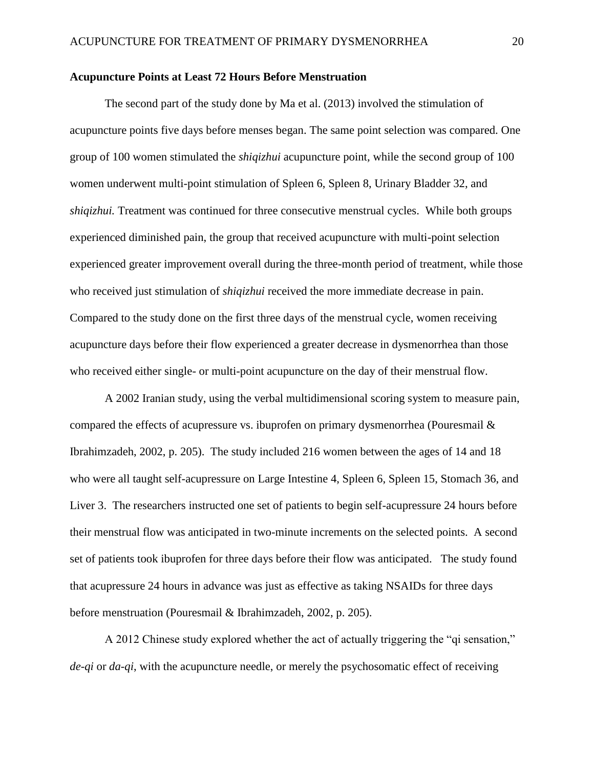#### **Acupuncture Points at Least 72 Hours Before Menstruation**

The second part of the study done by Ma et al. (2013) involved the stimulation of acupuncture points five days before menses began. The same point selection was compared. One group of 100 women stimulated the *shiqizhui* acupuncture point*,* while the second group of 100 women underwent multi-point stimulation of Spleen 6, Spleen 8, Urinary Bladder 32, and *shiqizhui.* Treatment was continued for three consecutive menstrual cycles. While both groups experienced diminished pain, the group that received acupuncture with multi-point selection experienced greater improvement overall during the three-month period of treatment, while those who received just stimulation of *shiqizhui* received the more immediate decrease in pain. Compared to the study done on the first three days of the menstrual cycle, women receiving acupuncture days before their flow experienced a greater decrease in dysmenorrhea than those who received either single- or multi-point acupuncture on the day of their menstrual flow.

A 2002 Iranian study, using the verbal multidimensional scoring system to measure pain, compared the effects of acupressure vs. ibuprofen on primary dysmenorrhea (Pouresmail & Ibrahimzadeh, 2002, p. 205). The study included 216 women between the ages of 14 and 18 who were all taught self-acupressure on Large Intestine 4, Spleen 6, Spleen 15, Stomach 36, and Liver 3. The researchers instructed one set of patients to begin self-acupressure 24 hours before their menstrual flow was anticipated in two-minute increments on the selected points. A second set of patients took ibuprofen for three days before their flow was anticipated. The study found that acupressure 24 hours in advance was just as effective as taking NSAIDs for three days before menstruation (Pouresmail & Ibrahimzadeh, 2002, p. 205).

A 2012 Chinese study explored whether the act of actually triggering the "qi sensation," *de-qi* or *da-qi*, with the acupuncture needle, or merely the psychosomatic effect of receiving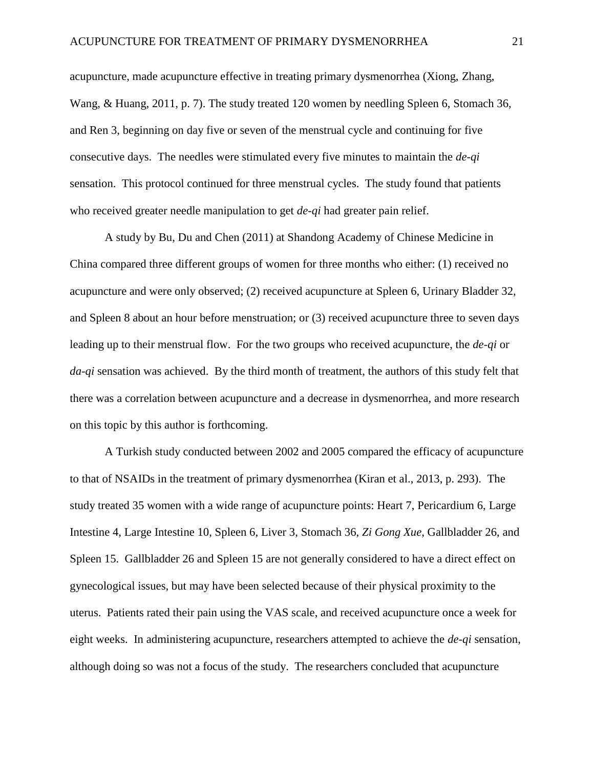acupuncture, made acupuncture effective in treating primary dysmenorrhea (Xiong, Zhang, Wang, & Huang, 2011, p. 7). The study treated 120 women by needling Spleen 6, Stomach 36, and Ren 3, beginning on day five or seven of the menstrual cycle and continuing for five consecutive days. The needles were stimulated every five minutes to maintain the *de-qi* sensation. This protocol continued for three menstrual cycles. The study found that patients who received greater needle manipulation to get *de-qi* had greater pain relief.

A study by Bu, Du and Chen (2011) at Shandong Academy of Chinese Medicine in China compared three different groups of women for three months who either: (1) received no acupuncture and were only observed; (2) received acupuncture at Spleen 6, Urinary Bladder 32, and Spleen 8 about an hour before menstruation; or (3) received acupuncture three to seven days leading up to their menstrual flow. For the two groups who received acupuncture, the *de-qi* or *da-qi* sensation was achieved. By the third month of treatment, the authors of this study felt that there was a correlation between acupuncture and a decrease in dysmenorrhea, and more research on this topic by this author is forthcoming.

A Turkish study conducted between 2002 and 2005 compared the efficacy of acupuncture to that of NSAIDs in the treatment of primary dysmenorrhea (Kiran et al., 2013, p. 293). The study treated 35 women with a wide range of acupuncture points: Heart 7, Pericardium 6, Large Intestine 4, Large Intestine 10, Spleen 6, Liver 3, Stomach 36, *Zi Gong Xue*, Gallbladder 26, and Spleen 15. Gallbladder 26 and Spleen 15 are not generally considered to have a direct effect on gynecological issues, but may have been selected because of their physical proximity to the uterus. Patients rated their pain using the VAS scale, and received acupuncture once a week for eight weeks. In administering acupuncture, researchers attempted to achieve the *de-qi* sensation, although doing so was not a focus of the study. The researchers concluded that acupuncture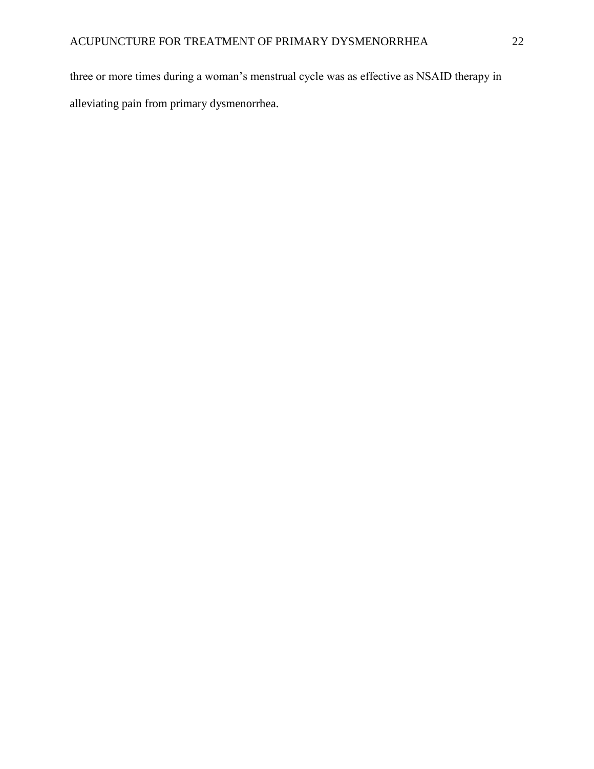three or more times during a woman's menstrual cycle was as effective as NSAID therapy in alleviating pain from primary dysmenorrhea.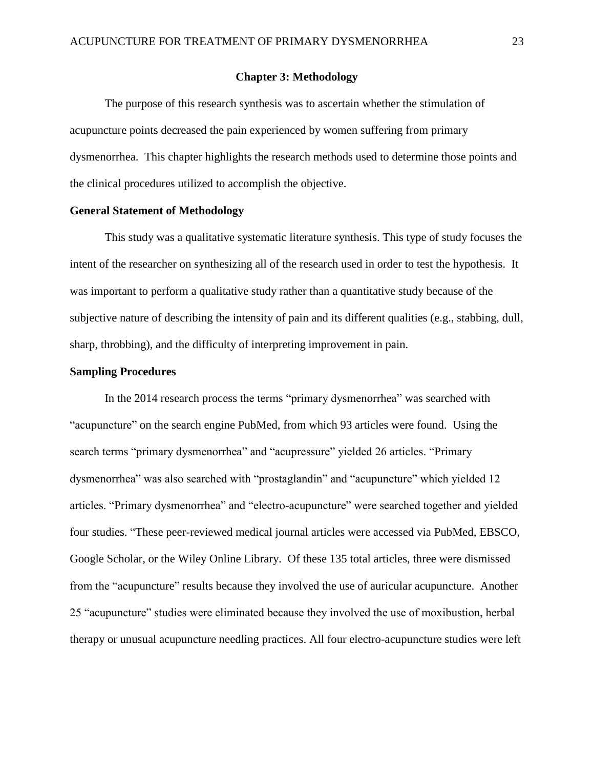#### **Chapter 3: Methodology**

The purpose of this research synthesis was to ascertain whether the stimulation of acupuncture points decreased the pain experienced by women suffering from primary dysmenorrhea. This chapter highlights the research methods used to determine those points and the clinical procedures utilized to accomplish the objective.

#### **General Statement of Methodology**

This study was a qualitative systematic literature synthesis. This type of study focuses the intent of the researcher on synthesizing all of the research used in order to test the hypothesis. It was important to perform a qualitative study rather than a quantitative study because of the subjective nature of describing the intensity of pain and its different qualities (e.g., stabbing, dull, sharp, throbbing), and the difficulty of interpreting improvement in pain.

#### **Sampling Procedures**

In the 2014 research process the terms "primary dysmenorrhea" was searched with "acupuncture" on the search engine PubMed, from which 93 articles were found. Using the search terms "primary dysmenorrhea" and "acupressure" yielded 26 articles. "Primary dysmenorrhea" was also searched with "prostaglandin" and "acupuncture" which yielded 12 articles. "Primary dysmenorrhea" and "electro-acupuncture" were searched together and yielded four studies. "These peer-reviewed medical journal articles were accessed via PubMed, EBSCO, Google Scholar, or the Wiley Online Library. Of these 135 total articles, three were dismissed from the "acupuncture" results because they involved the use of auricular acupuncture. Another 25 "acupuncture" studies were eliminated because they involved the use of moxibustion, herbal therapy or unusual acupuncture needling practices. All four electro-acupuncture studies were left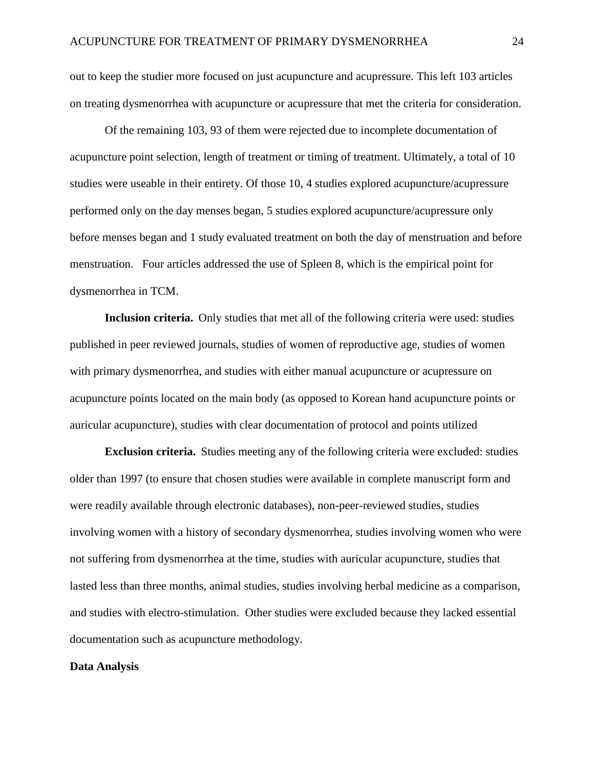out to keep the studier more focused on just acupuncture and acupressure. This left 103 articles on treating dysmenorrhea with acupuncture or acupressure that met the criteria for consideration.

Of the remaining 103, 93 of them were rejected due to incomplete documentation of acupuncture point selection, length of treatment or timing of treatment. Ultimately, a total of 10 studies were useable in their entirety. Of those 10, 4 studies explored acupuncture/acupressure performed only on the day menses began, 5 studies explored acupuncture/acupressure only before menses began and 1 study evaluated treatment on both the day of menstruation and before menstruation. Four articles addressed the use of Spleen 8, which is the empirical point for dysmenorrhea in TCM.

**Inclusion criteria.** Only studies that met all of the following criteria were used: studies published in peer reviewed journals, studies of women of reproductive age, studies of women with primary dysmenorrhea, and studies with either manual acupuncture or acupressure on acupuncture points located on the main body (as opposed to Korean hand acupuncture points or auricular acupuncture), studies with clear documentation of protocol and points utilized

**Exclusion criteria.** Studies meeting any of the following criteria were excluded: studies older than 1997 (to ensure that chosen studies were available in complete manuscript form and were readily available through electronic databases), non-peer-reviewed studies, studies involving women with a history of secondary dysmenorrhea, studies involving women who were not suffering from dysmenorrhea at the time, studies with auricular acupuncture, studies that lasted less than three months, animal studies, studies involving herbal medicine as a comparison, and studies with electro-stimulation. Other studies were excluded because they lacked essential documentation such as acupuncture methodology.

#### **Data Analysis**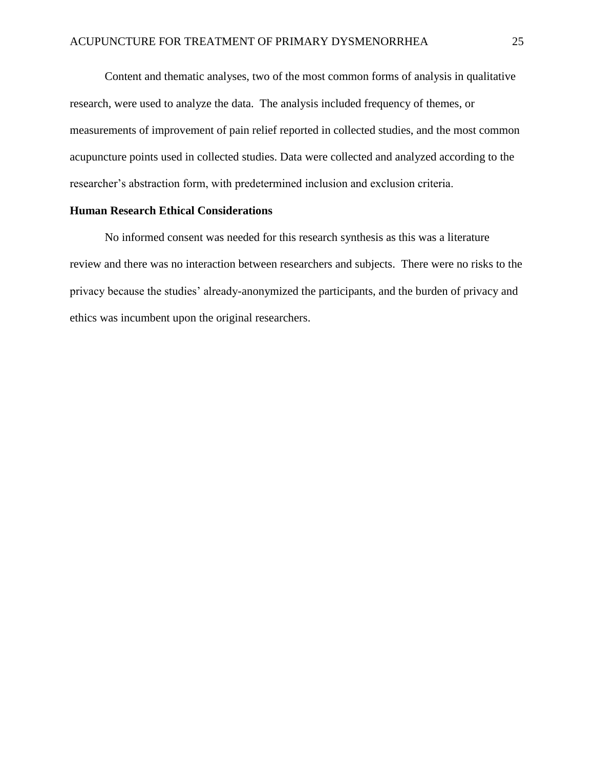Content and thematic analyses, two of the most common forms of analysis in qualitative research, were used to analyze the data. The analysis included frequency of themes, or measurements of improvement of pain relief reported in collected studies, and the most common acupuncture points used in collected studies. Data were collected and analyzed according to the researcher's abstraction form, with predetermined inclusion and exclusion criteria.

# **Human Research Ethical Considerations**

No informed consent was needed for this research synthesis as this was a literature review and there was no interaction between researchers and subjects. There were no risks to the privacy because the studies' already-anonymized the participants, and the burden of privacy and ethics was incumbent upon the original researchers.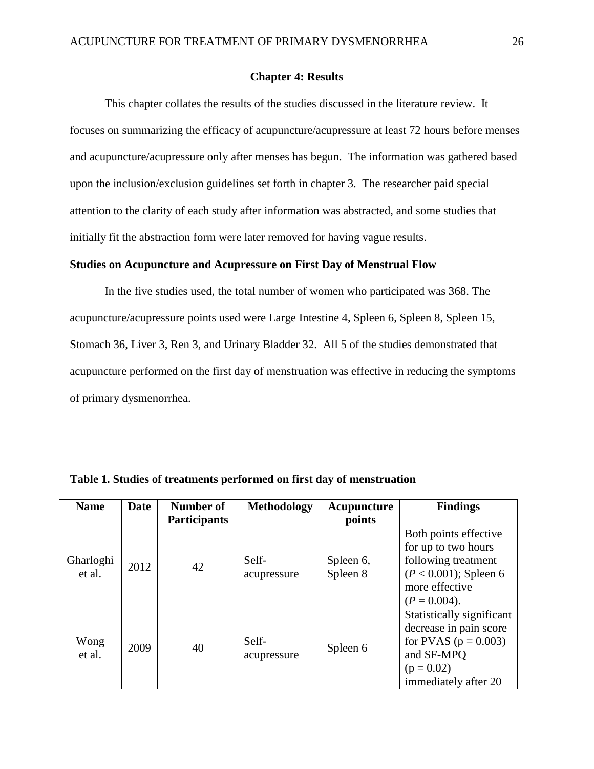#### **Chapter 4: Results**

This chapter collates the results of the studies discussed in the literature review. It focuses on summarizing the efficacy of acupuncture/acupressure at least 72 hours before menses and acupuncture/acupressure only after menses has begun. The information was gathered based upon the inclusion/exclusion guidelines set forth in chapter 3. The researcher paid special attention to the clarity of each study after information was abstracted, and some studies that initially fit the abstraction form were later removed for having vague results.

#### **Studies on Acupuncture and Acupressure on First Day of Menstrual Flow**

In the five studies used, the total number of women who participated was 368. The acupuncture/acupressure points used were Large Intestine 4, Spleen 6, Spleen 8, Spleen 15, Stomach 36, Liver 3, Ren 3, and Urinary Bladder 32. All 5 of the studies demonstrated that acupuncture performed on the first day of menstruation was effective in reducing the symptoms of primary dysmenorrhea.

| <b>Name</b>         | Date | Number of           | <b>Methodology</b>   | Acupuncture           | <b>Findings</b>                                                                                                                       |
|---------------------|------|---------------------|----------------------|-----------------------|---------------------------------------------------------------------------------------------------------------------------------------|
|                     |      | <b>Participants</b> |                      | points                |                                                                                                                                       |
| Gharloghi<br>et al. | 2012 | 42                  | Self-<br>acupressure | Spleen 6,<br>Spleen 8 | Both points effective<br>for up to two hours<br>following treatment<br>$(P < 0.001)$ ; Spleen 6<br>more effective<br>$(P = 0.004)$ .  |
| Wong<br>et al.      | 2009 | 40                  | Self-<br>acupressure | Spleen 6              | Statistically significant<br>decrease in pain score<br>for PVAS ( $p = 0.003$ )<br>and SF-MPQ<br>$(p = 0.02)$<br>immediately after 20 |

**Table 1. Studies of treatments performed on first day of menstruation**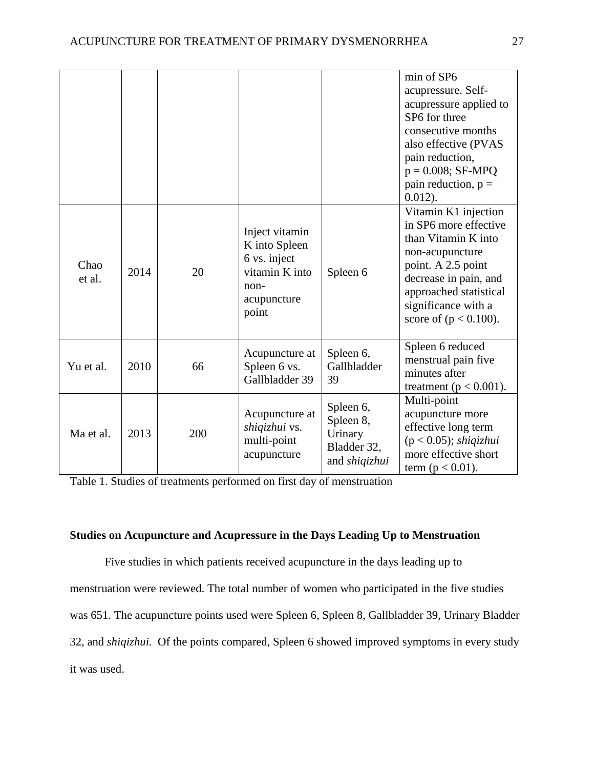|                |      |     |                                                                                                   |                                                                   | min of SP6<br>acupressure. Self-<br>acupressure applied to<br>SP6 for three<br>consecutive months<br>also effective (PVAS<br>pain reduction,<br>$p = 0.008$ ; SF-MPQ<br>pain reduction, $p =$<br>$0.012$ ).         |
|----------------|------|-----|---------------------------------------------------------------------------------------------------|-------------------------------------------------------------------|---------------------------------------------------------------------------------------------------------------------------------------------------------------------------------------------------------------------|
| Chao<br>et al. | 2014 | 20  | Inject vitamin<br>K into Spleen<br>6 vs. inject<br>vitamin K into<br>non-<br>acupuncture<br>point | Spleen 6                                                          | Vitamin K1 injection<br>in SP6 more effective<br>than Vitamin K into<br>non-acupuncture<br>point. A 2.5 point<br>decrease in pain, and<br>approached statistical<br>significance with a<br>score of $(p < 0.100)$ . |
| Yu et al.      | 2010 | 66  | Acupuncture at<br>Spleen 6 vs.<br>Gallbladder 39                                                  | Spleen 6,<br>Gallbladder<br>39                                    | Spleen 6 reduced<br>menstrual pain five<br>minutes after<br>treatment ( $p < 0.001$ ).                                                                                                                              |
| Ma et al.      | 2013 | 200 | Acupuncture at<br>shiqizhui vs.<br>multi-point<br>acupuncture                                     | Spleen 6,<br>Spleen 8,<br>Urinary<br>Bladder 32,<br>and shiqizhui | Multi-point<br>acupuncture more<br>effective long term<br>$(p < 0.05)$ ; shiqizhui<br>more effective short<br>term ( $p < 0.01$ ).                                                                                  |

Table 1. Studies of treatments performed on first day of menstruation

# **Studies on Acupuncture and Acupressure in the Days Leading Up to Menstruation**

Five studies in which patients received acupuncture in the days leading up to menstruation were reviewed. The total number of women who participated in the five studies was 651. The acupuncture points used were Spleen 6, Spleen 8, Gallbladder 39, Urinary Bladder 32, and *shiqizhui.* Of the points compared, Spleen 6 showed improved symptoms in every study it was used.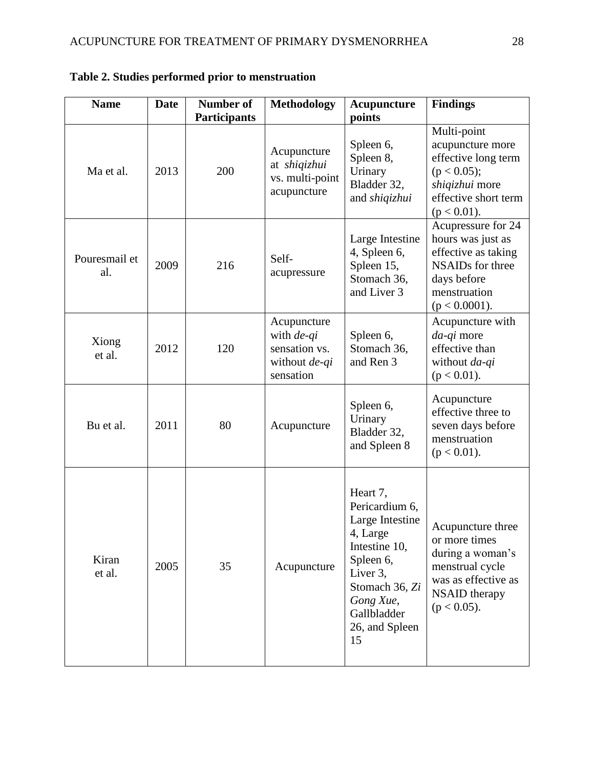| <b>Name</b>          | <b>Date</b> | Number of<br><b>Participants</b> | <b>Methodology</b>                                                       | Acupuncture<br>points                                                                                                                                                     | <b>Findings</b>                                                                                                                              |
|----------------------|-------------|----------------------------------|--------------------------------------------------------------------------|---------------------------------------------------------------------------------------------------------------------------------------------------------------------------|----------------------------------------------------------------------------------------------------------------------------------------------|
| Ma et al.            | 2013        | 200                              | Acupuncture<br>at shiqizhui<br>vs. multi-point<br>acupuncture            | Spleen 6,<br>Spleen 8,<br>Urinary<br>Bladder 32,<br>and shiqizhui                                                                                                         | Multi-point<br>acupuncture more<br>effective long term<br>(p < 0.05);<br>shiqizhui more<br>effective short term<br>$(p < 0.01)$ .            |
| Pouresmail et<br>al. | 2009        | 216                              | Self-<br>acupressure                                                     | Large Intestine<br>4, Spleen 6,<br>Spleen 15,<br>Stomach 36,<br>and Liver 3                                                                                               | Acupressure for 24<br>hours was just as<br>effective as taking<br><b>NSAIDs</b> for three<br>days before<br>menstruation<br>$(p < 0.0001)$ . |
| Xiong<br>et al.      | 2012        | 120                              | Acupuncture<br>with de-qi<br>sensation vs.<br>without de-qi<br>sensation | Spleen 6,<br>Stomach 36,<br>and Ren 3                                                                                                                                     | Acupuncture with<br>da-qi more<br>effective than<br>without da-qi<br>$(p < 0.01)$ .                                                          |
| Bu et al.            | 2011        | 80                               | Acupuncture                                                              | Spleen 6,<br>Urinary<br>Bladder 32,<br>and Spleen 8                                                                                                                       | Acupuncture<br>effective three to<br>seven days before<br>menstruation<br>$(p < 0.01)$ .                                                     |
| Kiran<br>et al.      | 2005        | 35                               | Acupuncture                                                              | Heart 7,<br>Pericardium 6,<br>Large Intestine<br>4, Large<br>Intestine 10,<br>Spleen 6,<br>Liver 3,<br>Stomach 36, Zi<br>Gong Xue,<br>Gallbladder<br>26, and Spleen<br>15 | Acupuncture three<br>or more times<br>during a woman's<br>menstrual cycle<br>was as effective as<br><b>NSAID</b> therapy<br>$(p < 0.05)$ .   |

**Table 2. Studies performed prior to menstruation**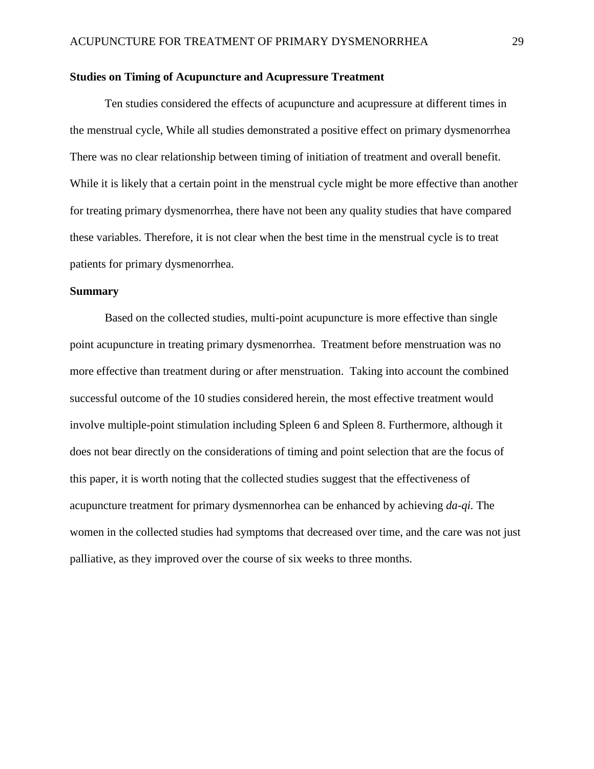#### **Studies on Timing of Acupuncture and Acupressure Treatment**

Ten studies considered the effects of acupuncture and acupressure at different times in the menstrual cycle, While all studies demonstrated a positive effect on primary dysmenorrhea There was no clear relationship between timing of initiation of treatment and overall benefit. While it is likely that a certain point in the menstrual cycle might be more effective than another for treating primary dysmenorrhea, there have not been any quality studies that have compared these variables. Therefore, it is not clear when the best time in the menstrual cycle is to treat patients for primary dysmenorrhea.

#### **Summary**

Based on the collected studies, multi-point acupuncture is more effective than single point acupuncture in treating primary dysmenorrhea. Treatment before menstruation was no more effective than treatment during or after menstruation. Taking into account the combined successful outcome of the 10 studies considered herein, the most effective treatment would involve multiple-point stimulation including Spleen 6 and Spleen 8. Furthermore, although it does not bear directly on the considerations of timing and point selection that are the focus of this paper, it is worth noting that the collected studies suggest that the effectiveness of acupuncture treatment for primary dysmennorhea can be enhanced by achieving *da-qi.* The women in the collected studies had symptoms that decreased over time, and the care was not just palliative, as they improved over the course of six weeks to three months.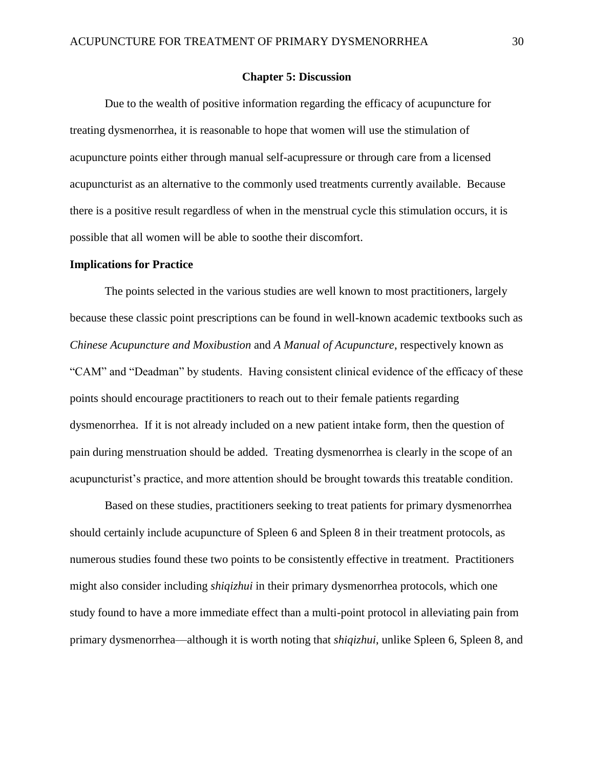#### **Chapter 5: Discussion**

Due to the wealth of positive information regarding the efficacy of acupuncture for treating dysmenorrhea, it is reasonable to hope that women will use the stimulation of acupuncture points either through manual self-acupressure or through care from a licensed acupuncturist as an alternative to the commonly used treatments currently available. Because there is a positive result regardless of when in the menstrual cycle this stimulation occurs, it is possible that all women will be able to soothe their discomfort.

#### **Implications for Practice**

The points selected in the various studies are well known to most practitioners, largely because these classic point prescriptions can be found in well-known academic textbooks such as *Chinese Acupuncture and Moxibustion* and *A Manual of Acupuncture*, respectively known as "CAM" and "Deadman" by students. Having consistent clinical evidence of the efficacy of these points should encourage practitioners to reach out to their female patients regarding dysmenorrhea. If it is not already included on a new patient intake form, then the question of pain during menstruation should be added. Treating dysmenorrhea is clearly in the scope of an acupuncturist's practice, and more attention should be brought towards this treatable condition.

Based on these studies, practitioners seeking to treat patients for primary dysmenorrhea should certainly include acupuncture of Spleen 6 and Spleen 8 in their treatment protocols, as numerous studies found these two points to be consistently effective in treatment. Practitioners might also consider including *shiqizhui* in their primary dysmenorrhea protocols, which one study found to have a more immediate effect than a multi-point protocol in alleviating pain from primary dysmenorrhea—although it is worth noting that *shiqizhui*, unlike Spleen 6, Spleen 8, and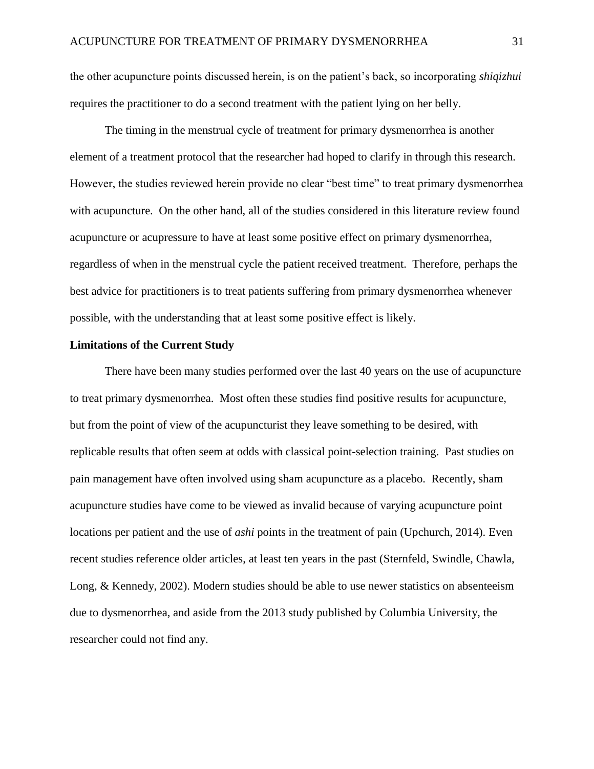the other acupuncture points discussed herein, is on the patient's back, so incorporating *shiqizhui* requires the practitioner to do a second treatment with the patient lying on her belly.

The timing in the menstrual cycle of treatment for primary dysmenorrhea is another element of a treatment protocol that the researcher had hoped to clarify in through this research. However, the studies reviewed herein provide no clear "best time" to treat primary dysmenorrhea with acupuncture. On the other hand, all of the studies considered in this literature review found acupuncture or acupressure to have at least some positive effect on primary dysmenorrhea, regardless of when in the menstrual cycle the patient received treatment. Therefore, perhaps the best advice for practitioners is to treat patients suffering from primary dysmenorrhea whenever possible, with the understanding that at least some positive effect is likely.

#### **Limitations of the Current Study**

There have been many studies performed over the last 40 years on the use of acupuncture to treat primary dysmenorrhea. Most often these studies find positive results for acupuncture, but from the point of view of the acupuncturist they leave something to be desired, with replicable results that often seem at odds with classical point-selection training. Past studies on pain management have often involved using sham acupuncture as a placebo. Recently, sham acupuncture studies have come to be viewed as invalid because of varying acupuncture point locations per patient and the use of *ashi* points in the treatment of pain (Upchurch, 2014). Even recent studies reference older articles, at least ten years in the past (Sternfeld, Swindle, Chawla, Long, & Kennedy, 2002). Modern studies should be able to use newer statistics on absenteeism due to dysmenorrhea, and aside from the 2013 study published by Columbia University, the researcher could not find any.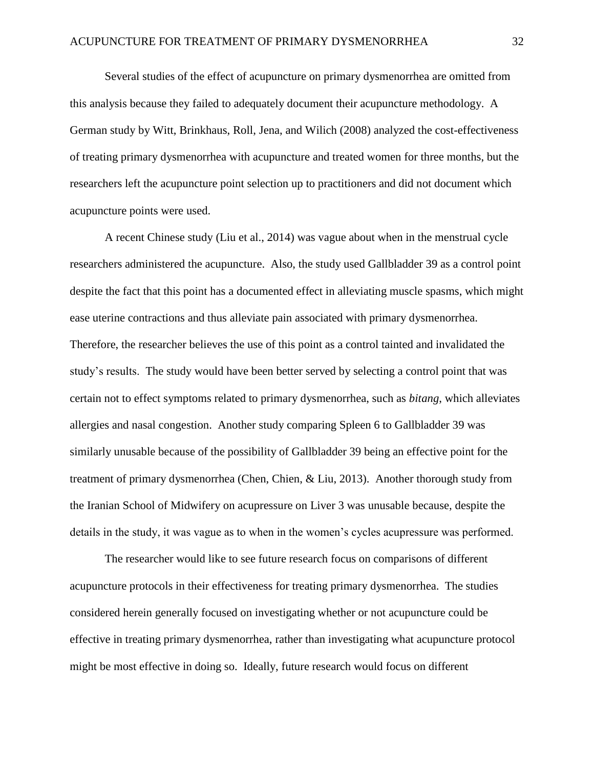Several studies of the effect of acupuncture on primary dysmenorrhea are omitted from this analysis because they failed to adequately document their acupuncture methodology. A German study by Witt, Brinkhaus, Roll, Jena, and Wilich (2008) analyzed the cost-effectiveness of treating primary dysmenorrhea with acupuncture and treated women for three months, but the researchers left the acupuncture point selection up to practitioners and did not document which acupuncture points were used.

A recent Chinese study (Liu et al., 2014) was vague about when in the menstrual cycle researchers administered the acupuncture. Also, the study used Gallbladder 39 as a control point despite the fact that this point has a documented effect in alleviating muscle spasms, which might ease uterine contractions and thus alleviate pain associated with primary dysmenorrhea. Therefore, the researcher believes the use of this point as a control tainted and invalidated the study's results. The study would have been better served by selecting a control point that was certain not to effect symptoms related to primary dysmenorrhea, such as *bitang*, which alleviates allergies and nasal congestion. Another study comparing Spleen 6 to Gallbladder 39 was similarly unusable because of the possibility of Gallbladder 39 being an effective point for the treatment of primary dysmenorrhea (Chen, Chien, & Liu, 2013). Another thorough study from the Iranian School of Midwifery on acupressure on Liver 3 was unusable because, despite the details in the study, it was vague as to when in the women's cycles acupressure was performed.

The researcher would like to see future research focus on comparisons of different acupuncture protocols in their effectiveness for treating primary dysmenorrhea. The studies considered herein generally focused on investigating whether or not acupuncture could be effective in treating primary dysmenorrhea, rather than investigating what acupuncture protocol might be most effective in doing so. Ideally, future research would focus on different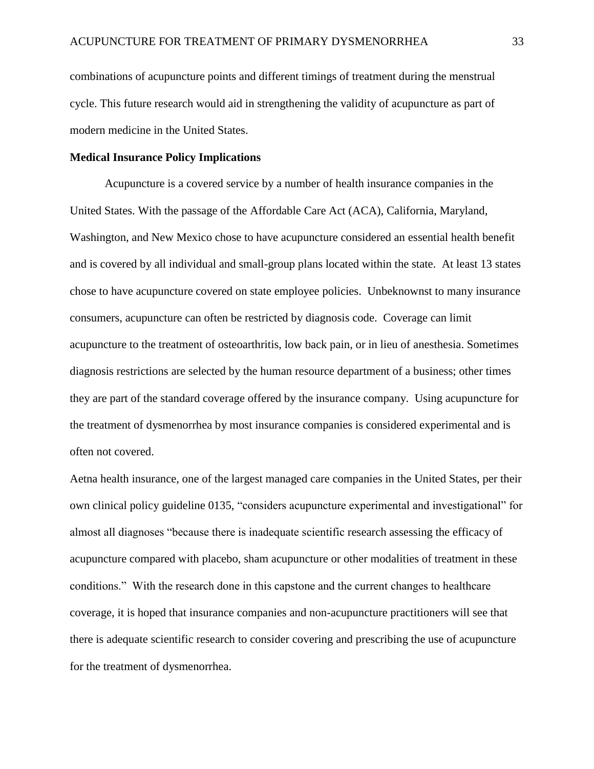combinations of acupuncture points and different timings of treatment during the menstrual cycle. This future research would aid in strengthening the validity of acupuncture as part of modern medicine in the United States.

#### **Medical Insurance Policy Implications**

Acupuncture is a covered service by a number of health insurance companies in the United States. With the passage of the Affordable Care Act (ACA), California, Maryland, Washington, and New Mexico chose to have acupuncture considered an essential health benefit and is covered by all individual and small-group plans located within the state. At least 13 states chose to have acupuncture covered on state employee policies. Unbeknownst to many insurance consumers, acupuncture can often be restricted by diagnosis code. Coverage can limit acupuncture to the treatment of osteoarthritis, low back pain, or in lieu of anesthesia. Sometimes diagnosis restrictions are selected by the human resource department of a business; other times they are part of the standard coverage offered by the insurance company. Using acupuncture for the treatment of dysmenorrhea by most insurance companies is considered experimental and is often not covered.

Aetna health insurance, one of the largest managed care companies in the United States, per their own clinical policy guideline 0135, "considers acupuncture experimental and investigational" for almost all diagnoses "because there is inadequate scientific research assessing the efficacy of acupuncture compared with placebo, sham acupuncture or other modalities of treatment in these conditions." With the research done in this capstone and the current changes to healthcare coverage, it is hoped that insurance companies and non-acupuncture practitioners will see that there is adequate scientific research to consider covering and prescribing the use of acupuncture for the treatment of dysmenorrhea.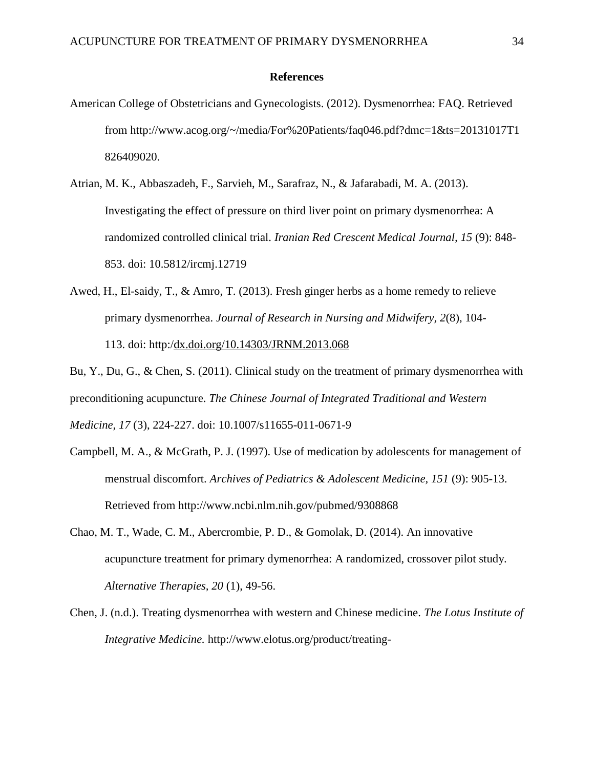#### **References**

- American College of Obstetricians and Gynecologists. (2012). Dysmenorrhea: FAQ. Retrieved from http://www.acog.org/~/media/For%20Patients/faq046.pdf?dmc=1&ts=20131017T1 826409020.
- Atrian, M. K., Abbaszadeh, F., Sarvieh, M., Sarafraz, N., & Jafarabadi, M. A. (2013). Investigating the effect of pressure on third liver point on primary dysmenorrhea: A randomized controlled clinical trial. *Iranian Red Crescent Medical Journal, 15* (9): 848- 853. doi: 10.5812/ircmj.12719
- Awed, H., El-saidy, T., & Amro, T. (2013). Fresh ginger herbs as a home remedy to relieve primary dysmenorrhea. *Journal of Research in Nursing and Midwifery, 2*(8), 104- 113. doi: http:[/dx.doi.org/10.14303/JRNM.2013.068](http://dx.doi.org/10.14303/JRNM.2013.068)

Bu, Y., Du, G., & Chen, S. (2011). Clinical study on the treatment of primary dysmenorrhea with preconditioning acupuncture. *The Chinese Journal of Integrated Traditional and Western Medicine, 17* (3), 224-227. doi: 10.1007/s11655-011-0671-9

- Campbell, M. A., & McGrath, P. J. (1997). Use of medication by adolescents for management of menstrual discomfort. *Archives of Pediatrics & Adolescent Medicine, 151* (9): 905-13. Retrieved from http://www.ncbi.nlm.nih.gov/pubmed/9308868
- Chao, M. T., Wade, C. M., Abercrombie, P. D., & Gomolak, D. (2014). An innovative acupuncture treatment for primary dymenorrhea: A randomized, crossover pilot study. *Alternative Therapies, 20* (1), 49-56.
- Chen, J. (n.d.). Treating dysmenorrhea with western and Chinese medicine. *The Lotus Institute of Integrative Medicine.* http://www.elotus.org/product/treating-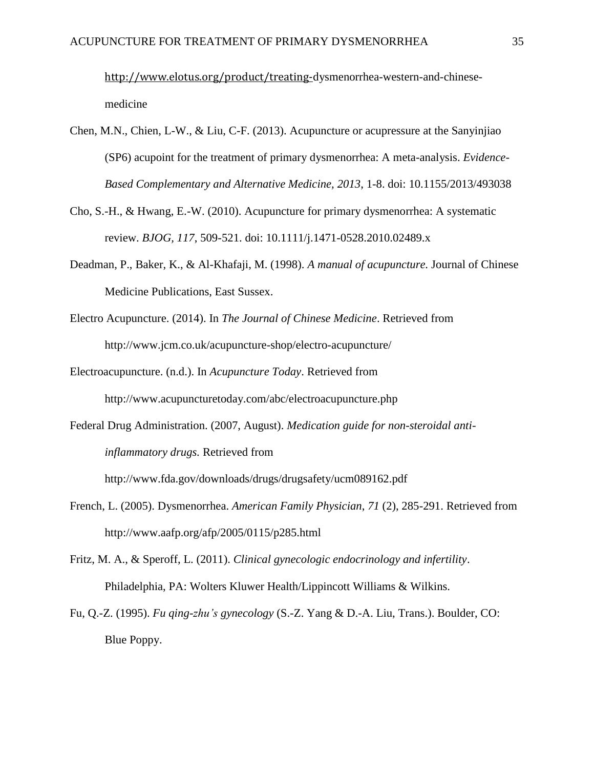<http://www.elotus.org/product/treating->dysmenorrhea-western-and-chinesemedicine

- Chen, M.N., Chien, L-W., & Liu, C-F. (2013). Acupuncture or acupressure at the Sanyinjiao (SP6) acupoint for the treatment of primary dysmenorrhea: A meta-analysis. *Evidence-Based Complementary and Alternative Medicine, 2013*, 1-8. doi: 10.1155/2013/493038
- Cho, S.-H., & Hwang, E.-W. (2010). Acupuncture for primary dysmenorrhea: A systematic review. *BJOG, 117*, 509-521. doi: 10.1111/j.1471-0528.2010.02489.x
- Deadman, P., Baker, K., & Al-Khafaji, M. (1998). *A manual of acupuncture.* Journal of Chinese Medicine Publications, East Sussex.
- Electro Acupuncture. (2014). In *The Journal of Chinese Medicine*. Retrieved from http://www.jcm.co.uk/acupuncture-shop/electro-acupuncture/
- Electroacupuncture. (n.d.). In *Acupuncture Today*. Retrieved from http://www.acupuncturetoday.com/abc/electroacupuncture.php
- Federal Drug Administration. (2007, August). *Medication guide for non-steroidal antiinflammatory drugs.* Retrieved from

http://www.fda.gov/downloads/drugs/drugsafety/ucm089162.pdf

- French, L. (2005). Dysmenorrhea. *American Family Physician*, *71* (2), 285-291. Retrieved from http://www.aafp.org/afp/2005/0115/p285.html
- Fritz, M. A., & Speroff, L. (2011). *Clinical gynecologic endocrinology and infertility*. Philadelphia, PA: Wolters Kluwer Health/Lippincott Williams & Wilkins.
- Fu, Q.-Z. (1995). *Fu qing-zhu's gynecology* (S.-Z. Yang & D.-A. Liu, Trans.). Boulder, CO: Blue Poppy.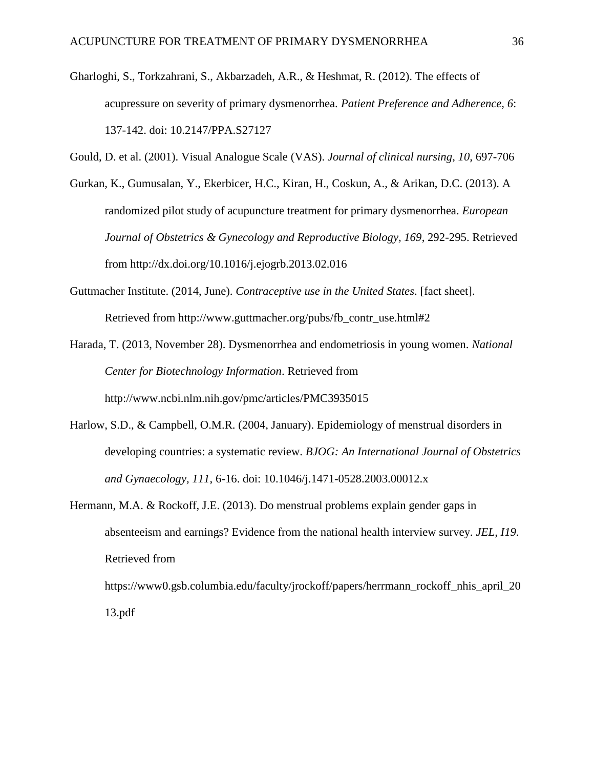Gharloghi, S., Torkzahrani, S., Akbarzadeh, A.R., & Heshmat, R. (2012). The effects of acupressure on severity of primary dysmenorrhea. *Patient Preference and Adherence, 6*: 137-142. doi: 10.2147/PPA.S27127

Gould, D. et al. (2001). Visual Analogue Scale (VAS). *Journal of clinical nursing*, *10,* 697-706

- Gurkan, K., Gumusalan, Y., Ekerbicer, H.C., Kiran, H., Coskun, A., & Arikan, D.C. (2013). A randomized pilot study of acupuncture treatment for primary dysmenorrhea. *European Journal of Obstetrics & Gynecology and Reproductive Biology, 169*, 292-295. Retrieved from http://dx.doi.org/10.1016/j.ejogrb.2013.02.016
- Guttmacher Institute. (2014, June). *Contraceptive use in the United States*. [fact sheet]. Retrieved from http://www.guttmacher.org/pubs/fb\_contr\_use.html#2
- Harada, T. (2013, November 28). Dysmenorrhea and endometriosis in young women. *National Center for Biotechnology Information*. Retrieved from http://www.ncbi.nlm.nih.gov/pmc/articles/PMC3935015
- Harlow, S.D., & Campbell, O.M.R. (2004, January). Epidemiology of menstrual disorders in developing countries: a systematic review. *BJOG: An International Journal of Obstetrics and Gynaecology, 111*, 6-16. doi: 10.1046/j.1471-0528.2003.00012.x
- Hermann, M.A. & Rockoff, J.E. (2013). Do menstrual problems explain gender gaps in absenteeism and earnings? Evidence from the national health interview survey. *JEL, I19*. Retrieved from https://www0.gsb.columbia.edu/faculty/jrockoff/papers/herrmann\_rockoff\_nhis\_april\_20 13.pdf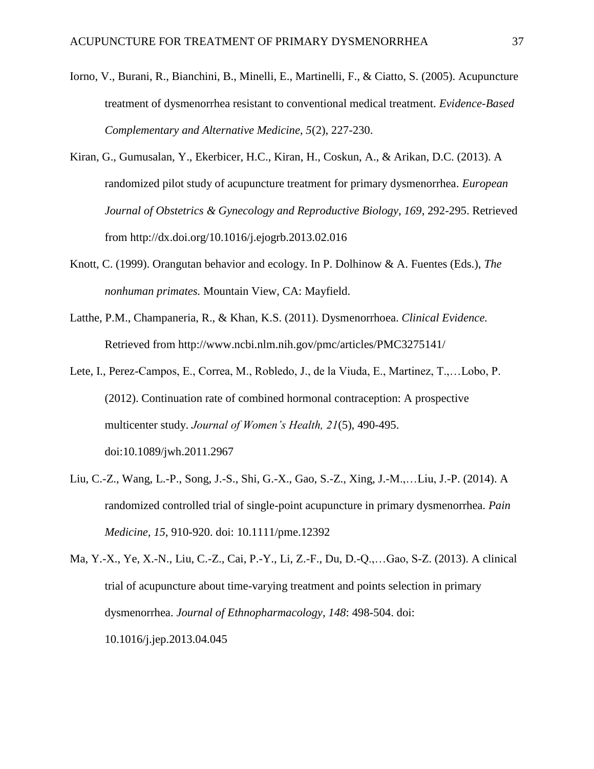- Iorno, V., Burani, R., Bianchini, B., Minelli, E., Martinelli, F., & Ciatto, S. (2005). Acupuncture treatment of dysmenorrhea resistant to conventional medical treatment. *Evidence-Based Complementary and Alternative Medicine, 5*(2), 227-230.
- Kiran, G., Gumusalan, Y., Ekerbicer, H.C., Kiran, H., Coskun, A., & Arikan, D.C. (2013). A randomized pilot study of acupuncture treatment for primary dysmenorrhea. *European Journal of Obstetrics & Gynecology and Reproductive Biology, 169*, 292-295. Retrieved from http://dx.doi.org/10.1016/j.ejogrb.2013.02.016
- Knott, C. (1999). Orangutan behavior and ecology. In P. Dolhinow & A. Fuentes (Eds.), *The nonhuman primates.* Mountain View, CA: Mayfield.
- Latthe, P.M., Champaneria, R., & Khan, K.S. (2011). Dysmenorrhoea. *Clinical Evidence.*  Retrieved from http://www.ncbi.nlm.nih.gov/pmc/articles/PMC3275141/
- Lete, I., Perez-Campos, E., Correa, M., Robledo, J., de la Viuda, E., Martinez, T.,…Lobo, P. (2012). Continuation rate of combined hormonal contraception: A prospective multicenter study. *Journal of Women's Health, 21*(5), 490-495. doi:10.1089/jwh.2011.2967
- Liu, C.-Z., Wang, L.-P., Song, J.-S., Shi, G.-X., Gao, S.-Z., Xing, J.-M.,…Liu, J.-P. (2014). A randomized controlled trial of single-point acupuncture in primary dysmenorrhea. *Pain Medicine, 15*, 910-920. doi: 10.1111/pme.12392

Ma, Y.-X., Ye, X.-N., Liu, C.-Z., Cai, P.-Y., Li, Z.-F., Du, D.-Q.,…Gao, S-Z. (2013). A clinical trial of acupuncture about time-varying treatment and points selection in primary dysmenorrhea. *Journal of Ethnopharmacology*, *148*: 498-504. doi: 10.1016/j.jep.2013.04.045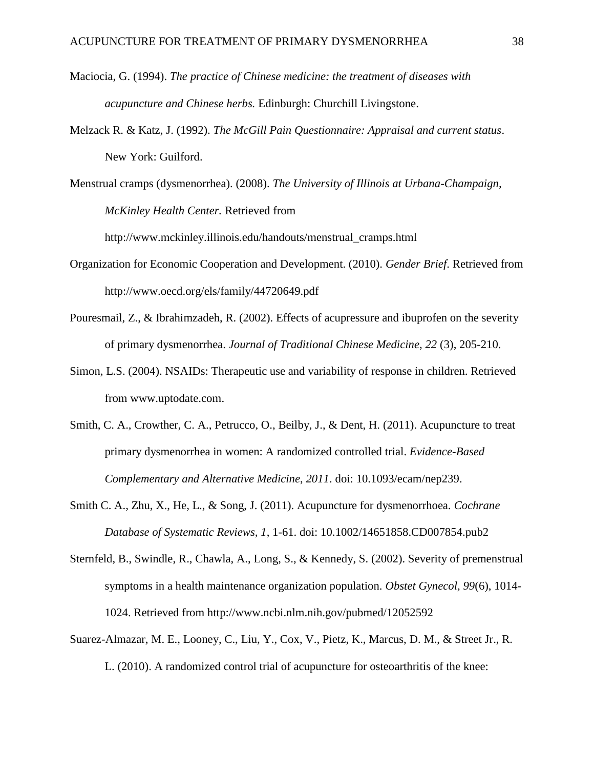- Maciocia, G. (1994). *The practice of Chinese medicine: the treatment of diseases with acupuncture and Chinese herbs.* Edinburgh: Churchill Livingstone.
- Melzack R. & Katz, J. (1992). *The McGill Pain Questionnaire: Appraisal and current status*. New York: Guilford.

Menstrual cramps (dysmenorrhea). (2008). *The University of Illinois at Urbana-Champaign, McKinley Health Center.* Retrieved from

http://www.mckinley.illinois.edu/handouts/menstrual\_cramps.html

- Organization for Economic Cooperation and Development. (2010). *Gender Brief*. Retrieved from http://www.oecd.org/els/family/44720649.pdf
- Pouresmail, Z., & Ibrahimzadeh, R. (2002). Effects of acupressure and ibuprofen on the severity of primary dysmenorrhea. *Journal of Traditional Chinese Medicine*, *22* (3), 205-210.
- Simon, L.S. (2004). NSAIDs: Therapeutic use and variability of response in children. Retrieved from www.uptodate.com.
- Smith, C. A., Crowther, C. A., Petrucco, O., Beilby, J., & Dent, H. (2011). Acupuncture to treat primary dysmenorrhea in women: A randomized controlled trial. *Evidence-Based Complementary and Alternative Medicine*, *2011*. doi: 10.1093/ecam/nep239.
- Smith C. A., Zhu, X., He, L., & Song, J. (2011). Acupuncture for dysmenorrhoea. *Cochrane Database of Systematic Reviews, 1*, 1-61. doi: 10.1002/14651858.CD007854.pub2
- Sternfeld, B., Swindle, R., Chawla, A., Long, S., & Kennedy, S. (2002). Severity of premenstrual symptoms in a health maintenance organization population. *Obstet Gynecol, 99*(6), 1014- 1024. Retrieved from http://www.ncbi.nlm.nih.gov/pubmed/12052592
- Suarez-Almazar, M. E., Looney, C., Liu, Y., Cox, V., Pietz, K., Marcus, D. M., & Street Jr., R.

L. (2010). A randomized control trial of acupuncture for osteoarthritis of the knee: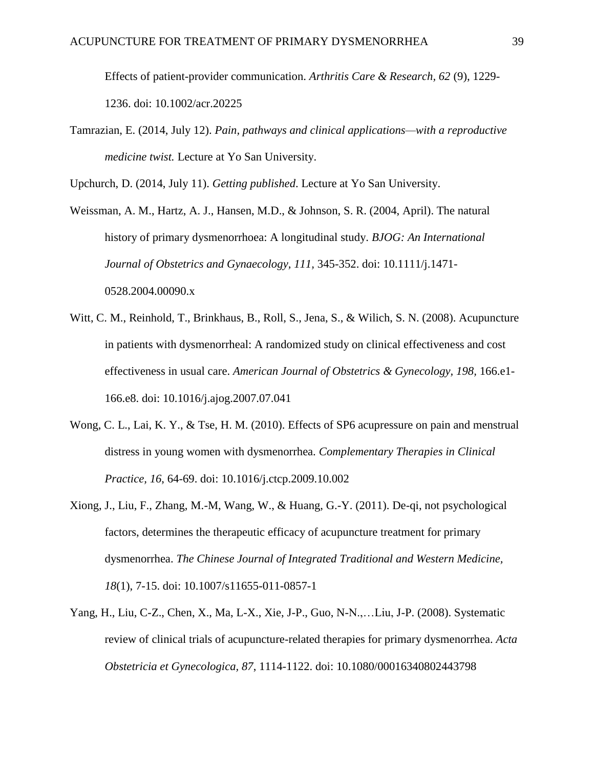Effects of patient-provider communication. *Arthritis Care & Research, 62* (9), 1229- 1236. doi: 10.1002/acr.20225

Tamrazian, E. (2014, July 12). *Pain, pathways and clinical applications—with a reproductive medicine twist.* Lecture at Yo San University.

Upchurch, D. (2014, July 11). *Getting published*. Lecture at Yo San University.

Weissman, A. M., Hartz, A. J., Hansen, M.D., & Johnson, S. R. (2004, April). The natural history of primary dysmenorrhoea: A longitudinal study. *BJOG: An International Journal of Obstetrics and Gynaecology, 111,* 345-352. doi: 10.1111/j.1471- 0528.2004.00090.x

- Witt, C. M., Reinhold, T., Brinkhaus, B., Roll, S., Jena, S., & Wilich, S. N. (2008). Acupuncture in patients with dysmenorrheal: A randomized study on clinical effectiveness and cost effectiveness in usual care. *American Journal of Obstetrics & Gynecology, 198, 166.e1-*166.e8. doi: 10.1016/j.ajog.2007.07.041
- Wong, C. L., Lai, K. Y., & Tse, H. M. (2010). Effects of SP6 acupressure on pain and menstrual distress in young women with dysmenorrhea. *Complementary Therapies in Clinical Practice, 16*, 64-69. doi: 10.1016/j.ctcp.2009.10.002
- Xiong, J., Liu, F., Zhang, M.-M, Wang, W., & Huang, G.-Y. (2011). De-qi, not psychological factors, determines the therapeutic efficacy of acupuncture treatment for primary dysmenorrhea. *The Chinese Journal of Integrated Traditional and Western Medicine, 18*(1), 7-15. doi: 10.1007/s11655-011-0857-1
- Yang, H., Liu, C-Z., Chen, X., Ma, L-X., Xie, J-P., Guo, N-N.,…Liu, J-P. (2008). Systematic review of clinical trials of acupuncture-related therapies for primary dysmenorrhea. *Acta Obstetricia et Gynecologica, 87*, 1114-1122. doi: 10.1080/00016340802443798